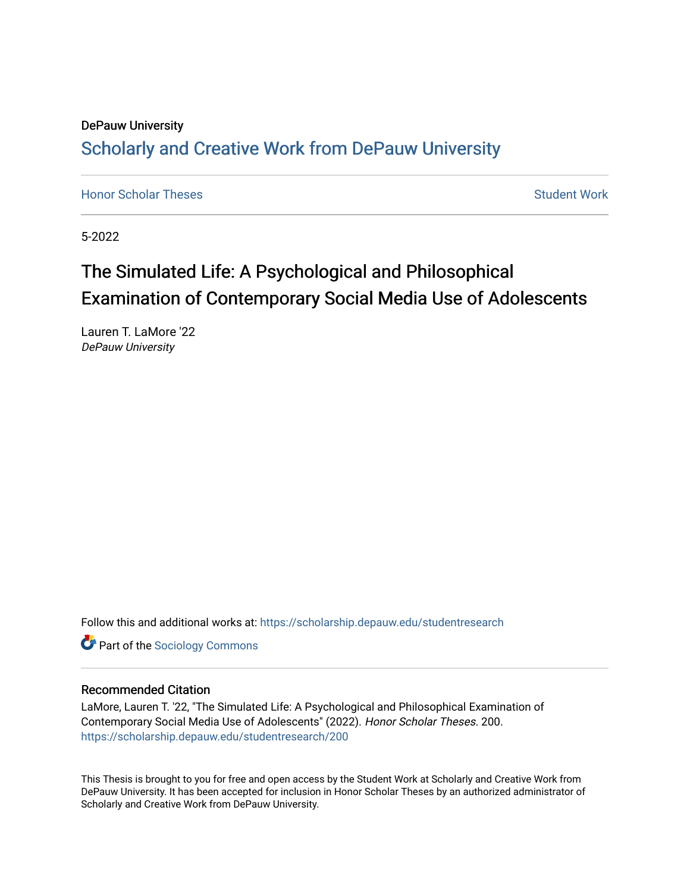## DePauw University Scholarly and [Creative Work from DePauw Univ](https://scholarship.depauw.edu/)ersity

**[Honor Scholar Theses](https://scholarship.depauw.edu/studentresearch) [Student Work](https://scholarship.depauw.edu/studentwork) Student Work Student Work** 

5-2022

# The Simulated Life: A Psychological and Philosophical Examination of Contemporary Social Media Use of Adolescents

Lauren T. LaMore '22 DePauw University

Follow this and additional works at: [https://scholarship.depauw.edu/studentresearch](https://scholarship.depauw.edu/studentresearch?utm_source=scholarship.depauw.edu%2Fstudentresearch%2F200&utm_medium=PDF&utm_campaign=PDFCoverPages)

**Part of the [Sociology Commons](https://network.bepress.com/hgg/discipline/416?utm_source=scholarship.depauw.edu%2Fstudentresearch%2F200&utm_medium=PDF&utm_campaign=PDFCoverPages)** 

### Recommended Citation

LaMore, Lauren T. '22, "The Simulated Life: A Psychological and Philosophical Examination of Contemporary Social Media Use of Adolescents" (2022). Honor Scholar Theses. 200. [https://scholarship.depauw.edu/studentresearch/200](https://scholarship.depauw.edu/studentresearch/200?utm_source=scholarship.depauw.edu%2Fstudentresearch%2F200&utm_medium=PDF&utm_campaign=PDFCoverPages)

This Thesis is brought to you for free and open access by the Student Work at Scholarly and Creative Work from DePauw University. It has been accepted for inclusion in Honor Scholar Theses by an authorized administrator of Scholarly and Creative Work from DePauw University.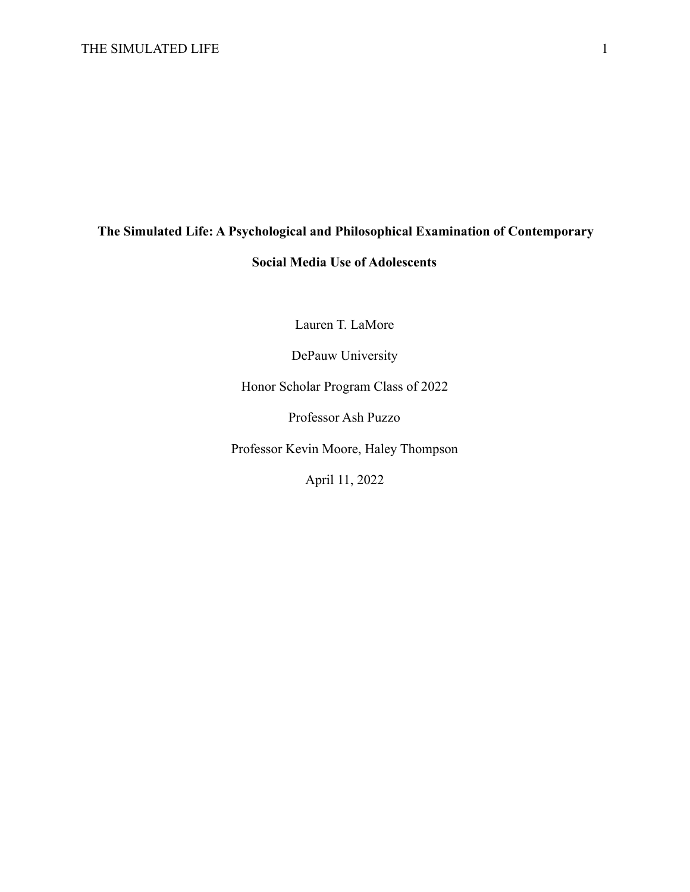# **The Simulated Life: A Psychological and Philosophical Examination of Contemporary Social Media Use of Adolescents**

Lauren T. LaMore

DePauw University

Honor Scholar Program Class of 2022

Professor Ash Puzzo

Professor Kevin Moore, Haley Thompson

April 11, 2022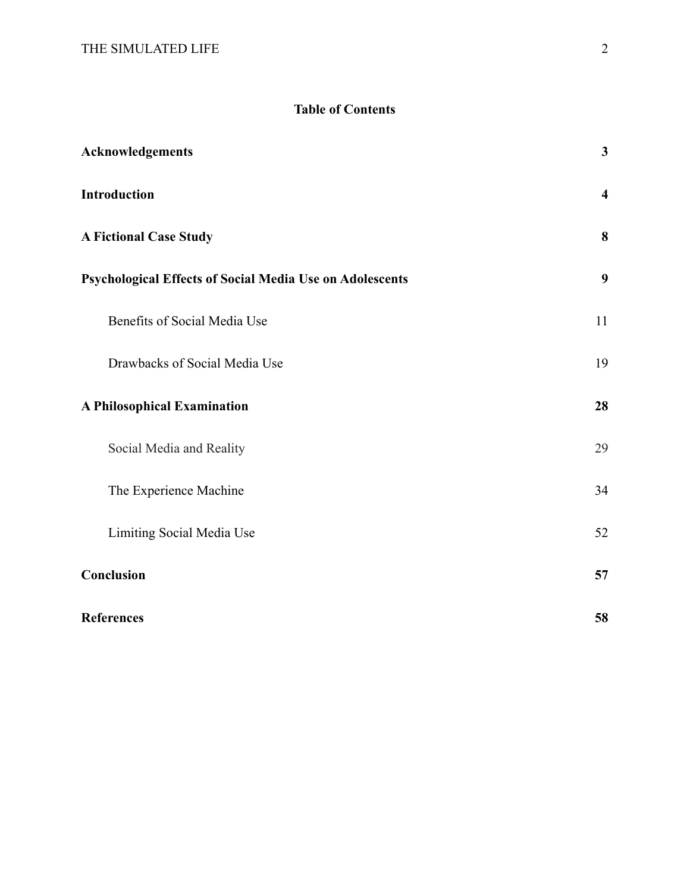## **Table of Contents**

| <b>Acknowledgements</b>                                         | $\mathbf{3}$            |
|-----------------------------------------------------------------|-------------------------|
| <b>Introduction</b>                                             | $\overline{\mathbf{4}}$ |
| <b>A Fictional Case Study</b>                                   | 8                       |
| <b>Psychological Effects of Social Media Use on Adolescents</b> | 9                       |
| Benefits of Social Media Use                                    | 11                      |
| Drawbacks of Social Media Use                                   | 19                      |
| <b>A Philosophical Examination</b>                              | 28                      |
| Social Media and Reality                                        | 29                      |
| The Experience Machine                                          | 34                      |
| Limiting Social Media Use                                       | 52                      |
| Conclusion                                                      | 57                      |
| <b>References</b>                                               | 58                      |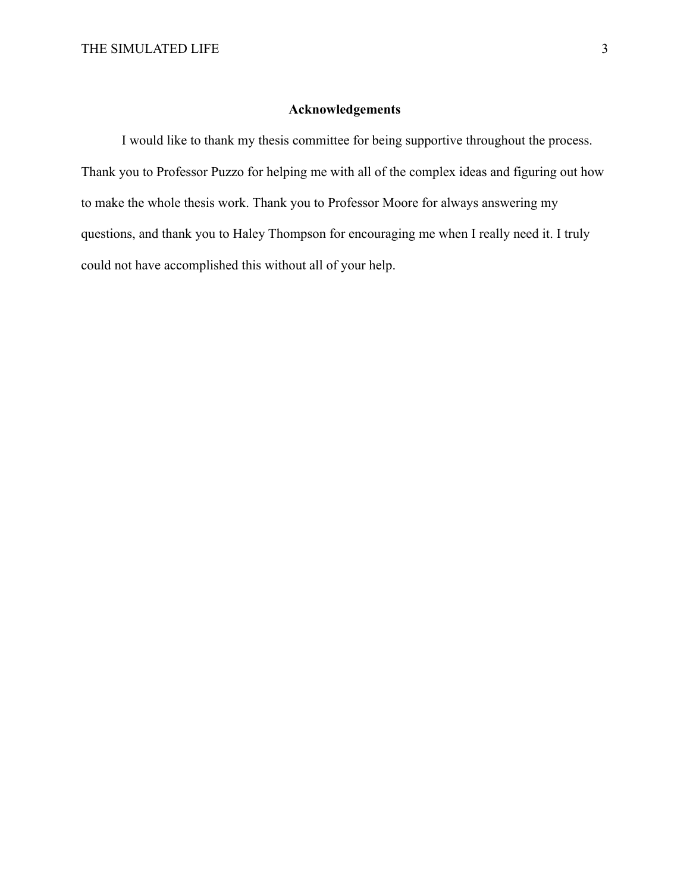## **Acknowledgements**

I would like to thank my thesis committee for being supportive throughout the process. Thank you to Professor Puzzo for helping me with all of the complex ideas and figuring out how to make the whole thesis work. Thank you to Professor Moore for always answering my questions, and thank you to Haley Thompson for encouraging me when I really need it. I truly could not have accomplished this without all of your help.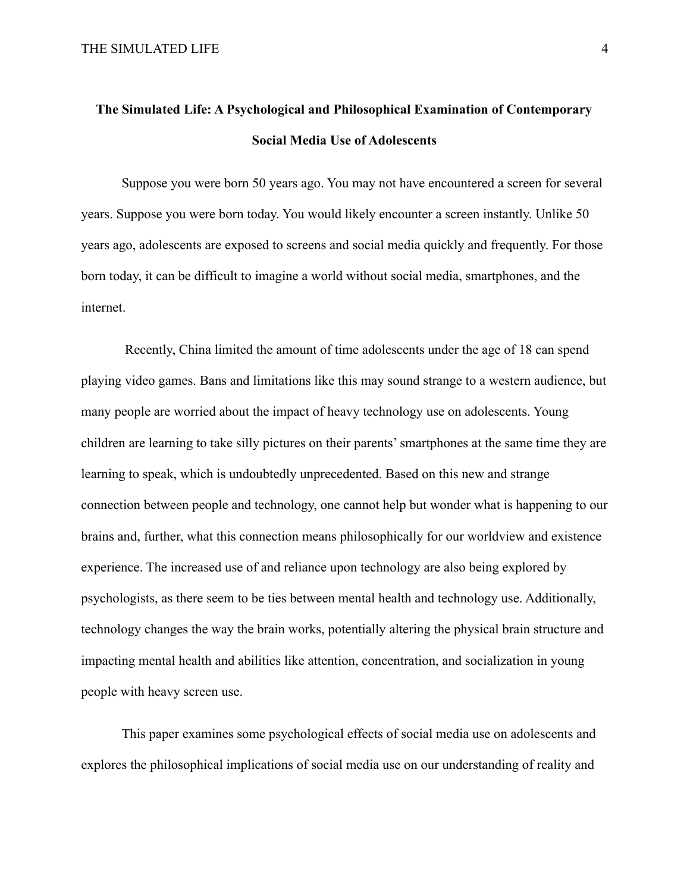## **The Simulated Life: A Psychological and Philosophical Examination of Contemporary Social Media Use of Adolescents**

Suppose you were born 50 years ago. You may not have encountered a screen for several years. Suppose you were born today. You would likely encounter a screen instantly. Unlike 50 years ago, adolescents are exposed to screens and social media quickly and frequently. For those born today, it can be difficult to imagine a world without social media, smartphones, and the internet.

Recently, China limited the amount of time adolescents under the age of 18 can spend playing video games. Bans and limitations like this may sound strange to a western audience, but many people are worried about the impact of heavy technology use on adolescents. Young children are learning to take silly pictures on their parents' smartphones at the same time they are learning to speak, which is undoubtedly unprecedented. Based on this new and strange connection between people and technology, one cannot help but wonder what is happening to our brains and, further, what this connection means philosophically for our worldview and existence experience. The increased use of and reliance upon technology are also being explored by psychologists, as there seem to be ties between mental health and technology use. Additionally, technology changes the way the brain works, potentially altering the physical brain structure and impacting mental health and abilities like attention, concentration, and socialization in young people with heavy screen use.

This paper examines some psychological effects of social media use on adolescents and explores the philosophical implications of social media use on our understanding of reality and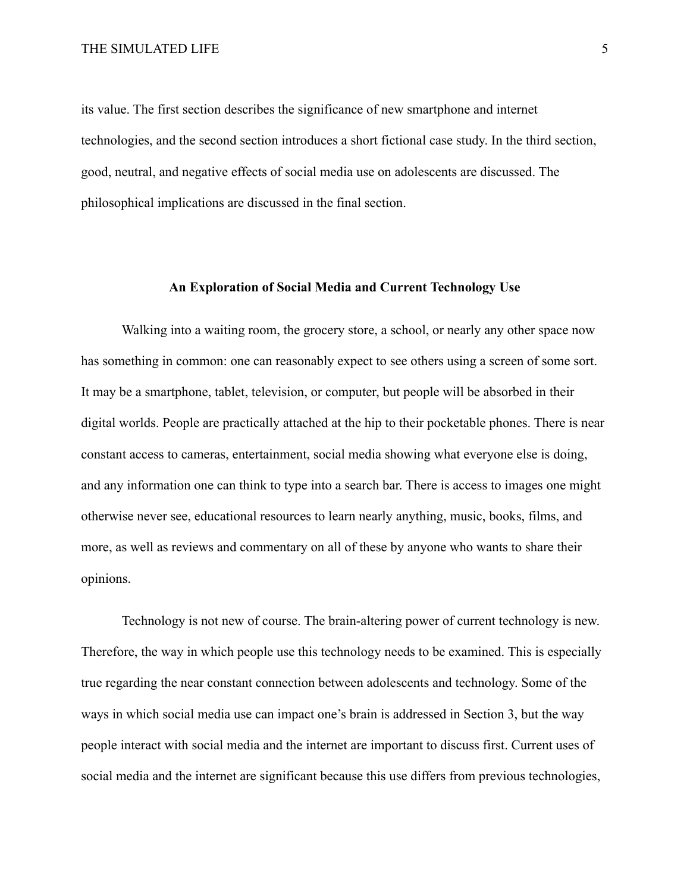its value. The first section describes the significance of new smartphone and internet technologies, and the second section introduces a short fictional case study. In the third section, good, neutral, and negative effects of social media use on adolescents are discussed. The philosophical implications are discussed in the final section.

## **An Exploration of Social Media and Current Technology Use**

Walking into a waiting room, the grocery store, a school, or nearly any other space now has something in common: one can reasonably expect to see others using a screen of some sort. It may be a smartphone, tablet, television, or computer, but people will be absorbed in their digital worlds. People are practically attached at the hip to their pocketable phones. There is near constant access to cameras, entertainment, social media showing what everyone else is doing, and any information one can think to type into a search bar. There is access to images one might otherwise never see, educational resources to learn nearly anything, music, books, films, and more, as well as reviews and commentary on all of these by anyone who wants to share their opinions.

Technology is not new of course. The brain-altering power of current technology is new. Therefore, the way in which people use this technology needs to be examined. This is especially true regarding the near constant connection between adolescents and technology. Some of the ways in which social media use can impact one's brain is addressed in Section 3, but the way people interact with social media and the internet are important to discuss first. Current uses of social media and the internet are significant because this use differs from previous technologies,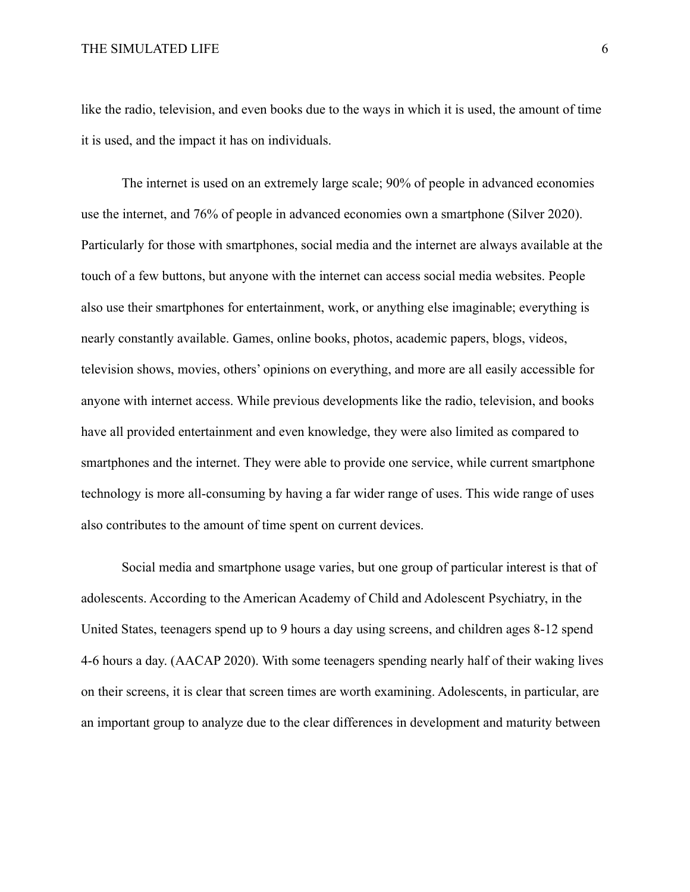like the radio, television, and even books due to the ways in which it is used, the amount of time it is used, and the impact it has on individuals.

The internet is used on an extremely large scale; 90% of people in advanced economies use the internet, and 76% of people in advanced economies own a smartphone (Silver 2020). Particularly for those with smartphones, social media and the internet are always available at the touch of a few buttons, but anyone with the internet can access social media websites. People also use their smartphones for entertainment, work, or anything else imaginable; everything is nearly constantly available. Games, online books, photos, academic papers, blogs, videos, television shows, movies, others' opinions on everything, and more are all easily accessible for anyone with internet access. While previous developments like the radio, television, and books have all provided entertainment and even knowledge, they were also limited as compared to smartphones and the internet. They were able to provide one service, while current smartphone technology is more all-consuming by having a far wider range of uses. This wide range of uses also contributes to the amount of time spent on current devices.

Social media and smartphone usage varies, but one group of particular interest is that of adolescents. According to the American Academy of Child and Adolescent Psychiatry, in the United States, teenagers spend up to 9 hours a day using screens, and children ages 8-12 spend 4-6 hours a day. (AACAP 2020). With some teenagers spending nearly half of their waking lives on their screens, it is clear that screen times are worth examining. Adolescents, in particular, are an important group to analyze due to the clear differences in development and maturity between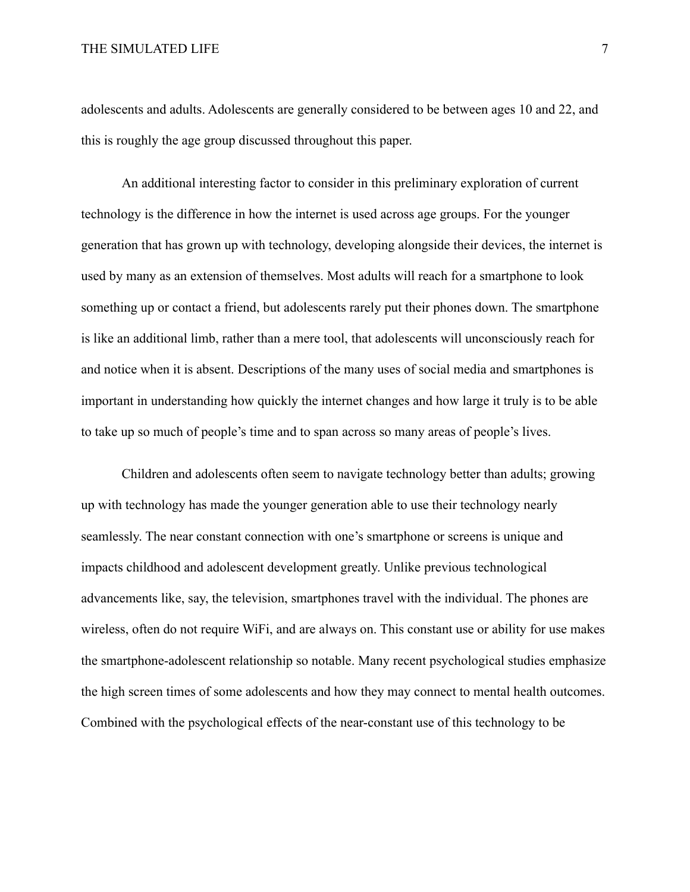adolescents and adults. Adolescents are generally considered to be between ages 10 and 22, and this is roughly the age group discussed throughout this paper.

An additional interesting factor to consider in this preliminary exploration of current technology is the difference in how the internet is used across age groups. For the younger generation that has grown up with technology, developing alongside their devices, the internet is used by many as an extension of themselves. Most adults will reach for a smartphone to look something up or contact a friend, but adolescents rarely put their phones down. The smartphone is like an additional limb, rather than a mere tool, that adolescents will unconsciously reach for and notice when it is absent. Descriptions of the many uses of social media and smartphones is important in understanding how quickly the internet changes and how large it truly is to be able to take up so much of people's time and to span across so many areas of people's lives.

Children and adolescents often seem to navigate technology better than adults; growing up with technology has made the younger generation able to use their technology nearly seamlessly. The near constant connection with one's smartphone or screens is unique and impacts childhood and adolescent development greatly. Unlike previous technological advancements like, say, the television, smartphones travel with the individual. The phones are wireless, often do not require WiFi, and are always on. This constant use or ability for use makes the smartphone-adolescent relationship so notable. Many recent psychological studies emphasize the high screen times of some adolescents and how they may connect to mental health outcomes. Combined with the psychological effects of the near-constant use of this technology to be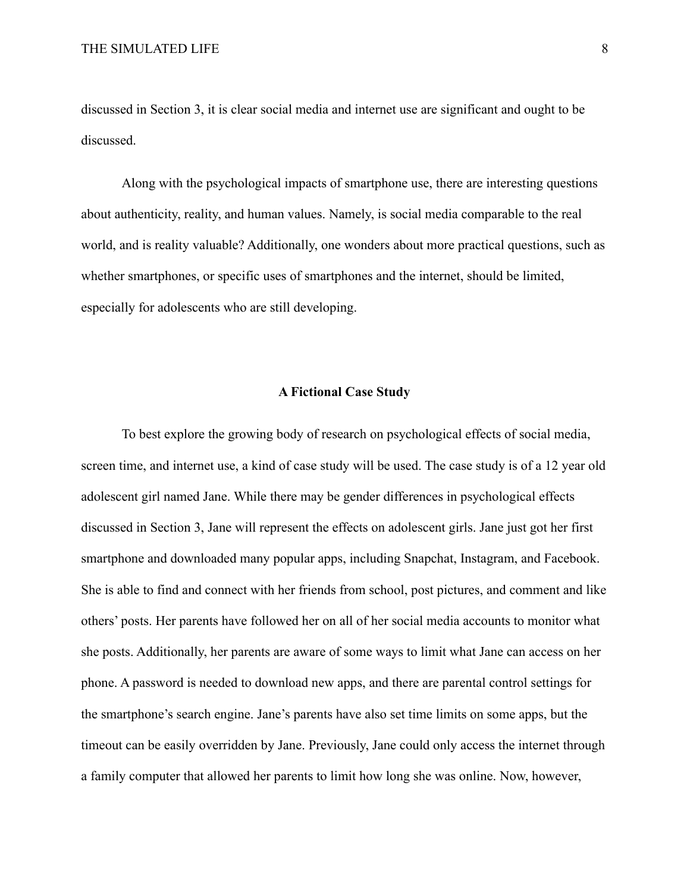discussed in Section 3, it is clear social media and internet use are significant and ought to be discussed.

Along with the psychological impacts of smartphone use, there are interesting questions about authenticity, reality, and human values. Namely, is social media comparable to the real world, and is reality valuable? Additionally, one wonders about more practical questions, such as whether smartphones, or specific uses of smartphones and the internet, should be limited, especially for adolescents who are still developing.

## **A Fictional Case Study**

To best explore the growing body of research on psychological effects of social media, screen time, and internet use, a kind of case study will be used. The case study is of a 12 year old adolescent girl named Jane. While there may be gender differences in psychological effects discussed in Section 3, Jane will represent the effects on adolescent girls. Jane just got her first smartphone and downloaded many popular apps, including Snapchat, Instagram, and Facebook. She is able to find and connect with her friends from school, post pictures, and comment and like others' posts. Her parents have followed her on all of her social media accounts to monitor what she posts. Additionally, her parents are aware of some ways to limit what Jane can access on her phone. A password is needed to download new apps, and there are parental control settings for the smartphone's search engine. Jane's parents have also set time limits on some apps, but the timeout can be easily overridden by Jane. Previously, Jane could only access the internet through a family computer that allowed her parents to limit how long she was online. Now, however,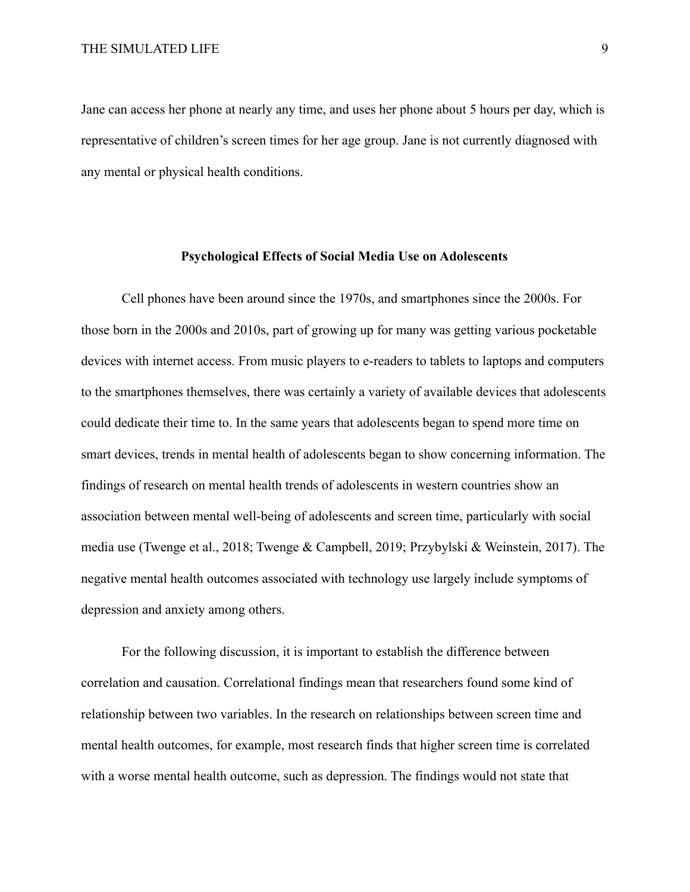Jane can access her phone at nearly any time, and uses her phone about 5 hours per day, which is representative of children's screen times for her age group. Jane is not currently diagnosed with any mental or physical health conditions.

#### **Psychological Effects of Social Media Use on Adolescents**

Cell phones have been around since the 1970s, and smartphones since the 2000s. For those born in the 2000s and 2010s, part of growing up for many was getting various pocketable devices with internet access. From music players to e-readers to tablets to laptops and computers to the smartphones themselves, there was certainly a variety of available devices that adolescents could dedicate their time to. In the same years that adolescents began to spend more time on smart devices, trends in mental health of adolescents began to show concerning information. The findings of research on mental health trends of adolescents in western countries show an association between mental well-being of adolescents and screen time, particularly with social media use (Twenge et al., 2018; Twenge & Campbell, 2019; [Przybylski & Weinstein, 2017\)](https://journals.sagepub.com/doi/full/10.1177/0956797616678438). The negative mental health outcomes associated with technology use largely include symptoms of depression and anxiety among others.

For the following discussion, it is important to establish the difference between correlation and causation. Correlational findings mean that researchers found some kind of relationship between two variables. In the research on relationships between screen time and mental health outcomes, for example, most research finds that higher screen time is correlated with a worse mental health outcome, such as depression. The findings would not state that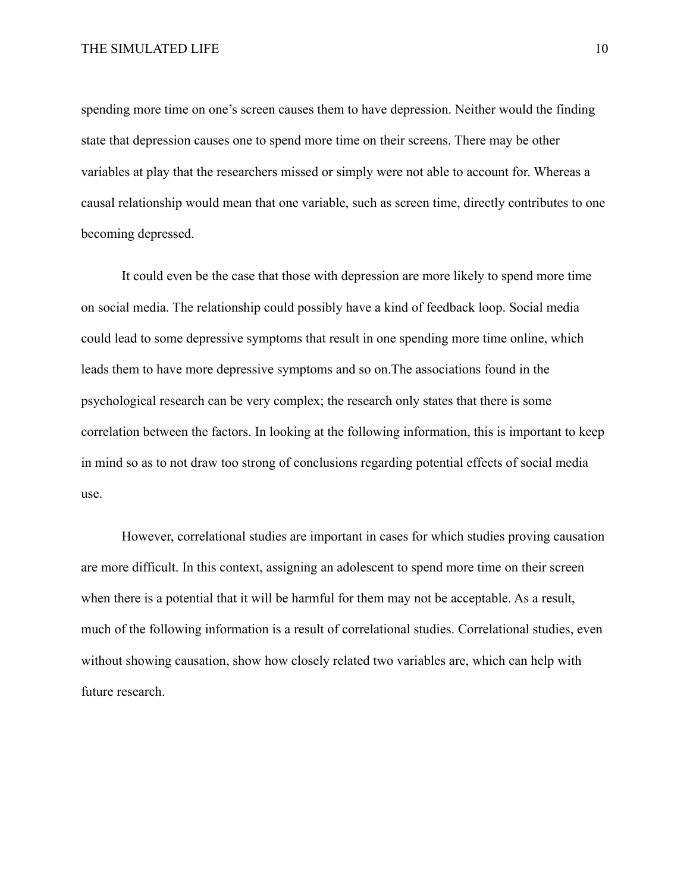spending more time on one's screen causes them to have depression. Neither would the finding state that depression causes one to spend more time on their screens. There may be other variables at play that the researchers missed or simply were not able to account for. Whereas a causal relationship would mean that one variable, such as screen time, directly contributes to one becoming depressed.

It could even be the case that those with depression are more likely to spend more time on social media. The relationship could possibly have a kind of feedback loop. Social media could lead to some depressive symptoms that result in one spending more time online, which leads them to have more depressive symptoms and so on.The associations found in the psychological research can be very complex; the research only states that there is some correlation between the factors. In looking at the following information, this is important to keep in mind so as to not draw too strong of conclusions regarding potential effects of social media use.

However, correlational studies are important in cases for which studies proving causation are more difficult. In this context, assigning an adolescent to spend more time on their screen when there is a potential that it will be harmful for them may not be acceptable. As a result, much of the following information is a result of correlational studies. Correlational studies, even without showing causation, show how closely related two variables are, which can help with future research.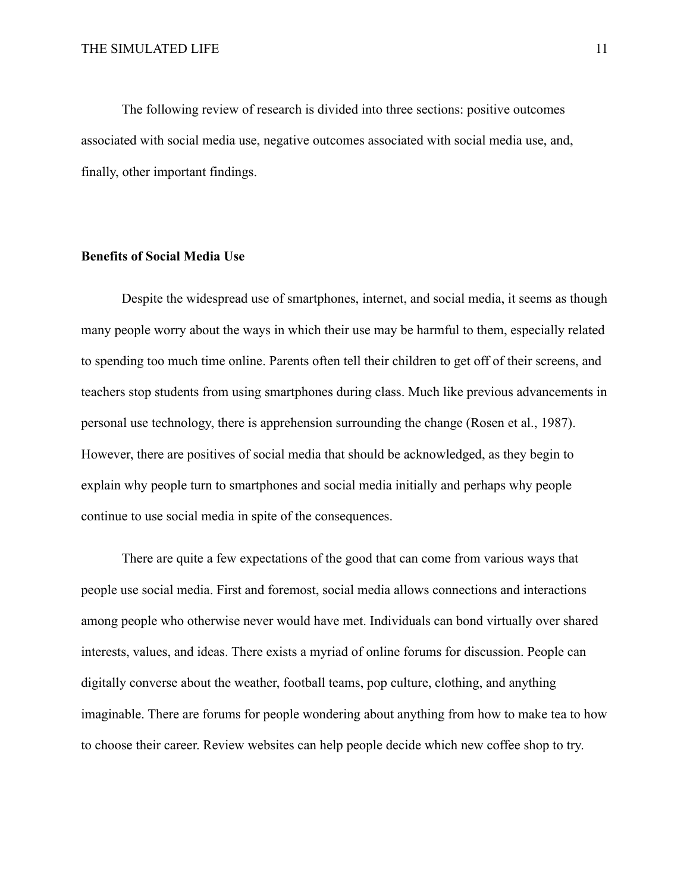The following review of research is divided into three sections: positive outcomes associated with social media use, negative outcomes associated with social media use, and, finally, other important findings.

#### **Benefits of Social Media Use**

Despite the widespread use of smartphones, internet, and social media, it seems as though many people worry about the ways in which their use may be harmful to them, especially related to spending too much time online. Parents often tell their children to get off of their screens, and teachers stop students from using smartphones during class. Much like previous advancements in personal use technology, there is apprehension surrounding the change (Rosen et al., 1987). However, there are positives of social media that should be acknowledged, as they begin to explain why people turn to smartphones and social media initially and perhaps why people continue to use social media in spite of the consequences.

There are quite a few expectations of the good that can come from various ways that people use social media. First and foremost, social media allows connections and interactions among people who otherwise never would have met. Individuals can bond virtually over shared interests, values, and ideas. There exists a myriad of online forums for discussion. People can digitally converse about the weather, football teams, pop culture, clothing, and anything imaginable. There are forums for people wondering about anything from how to make tea to how to choose their career. Review websites can help people decide which new coffee shop to try.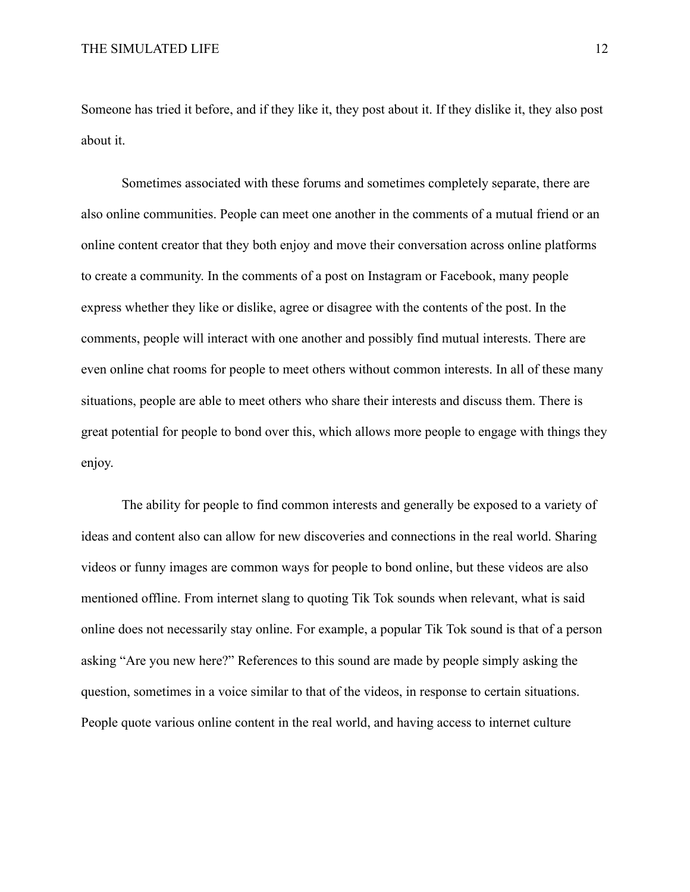Someone has tried it before, and if they like it, they post about it. If they dislike it, they also post about it.

Sometimes associated with these forums and sometimes completely separate, there are also online communities. People can meet one another in the comments of a mutual friend or an online content creator that they both enjoy and move their conversation across online platforms to create a community. In the comments of a post on Instagram or Facebook, many people express whether they like or dislike, agree or disagree with the contents of the post. In the comments, people will interact with one another and possibly find mutual interests. There are even online chat rooms for people to meet others without common interests. In all of these many situations, people are able to meet others who share their interests and discuss them. There is great potential for people to bond over this, which allows more people to engage with things they enjoy.

The ability for people to find common interests and generally be exposed to a variety of ideas and content also can allow for new discoveries and connections in the real world. Sharing videos or funny images are common ways for people to bond online, but these videos are also mentioned offline. From internet slang to quoting Tik Tok sounds when relevant, what is said online does not necessarily stay online. For example, a popular Tik Tok sound is that of a person asking "Are you new here?" References to this sound are made by people simply asking the question, sometimes in a voice similar to that of the videos, in response to certain situations. People quote various online content in the real world, and having access to internet culture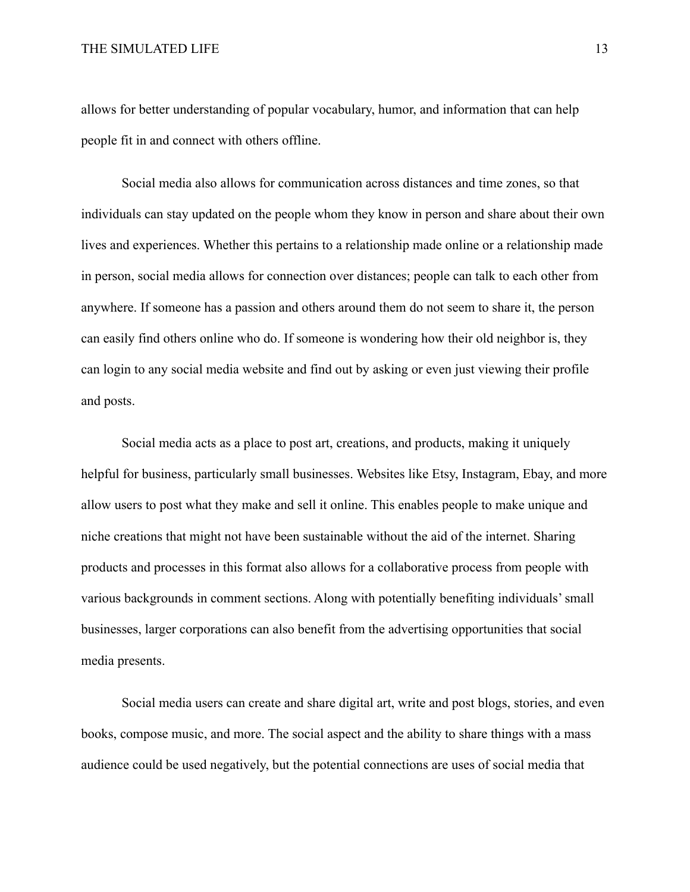allows for better understanding of popular vocabulary, humor, and information that can help people fit in and connect with others offline.

Social media also allows for communication across distances and time zones, so that individuals can stay updated on the people whom they know in person and share about their own lives and experiences. Whether this pertains to a relationship made online or a relationship made in person, social media allows for connection over distances; people can talk to each other from anywhere. If someone has a passion and others around them do not seem to share it, the person can easily find others online who do. If someone is wondering how their old neighbor is, they can login to any social media website and find out by asking or even just viewing their profile and posts.

Social media acts as a place to post art, creations, and products, making it uniquely helpful for business, particularly small businesses. Websites like Etsy, Instagram, Ebay, and more allow users to post what they make and sell it online. This enables people to make unique and niche creations that might not have been sustainable without the aid of the internet. Sharing products and processes in this format also allows for a collaborative process from people with various backgrounds in comment sections. Along with potentially benefiting individuals' small businesses, larger corporations can also benefit from the advertising opportunities that social media presents.

Social media users can create and share digital art, write and post blogs, stories, and even books, compose music, and more. The social aspect and the ability to share things with a mass audience could be used negatively, but the potential connections are uses of social media that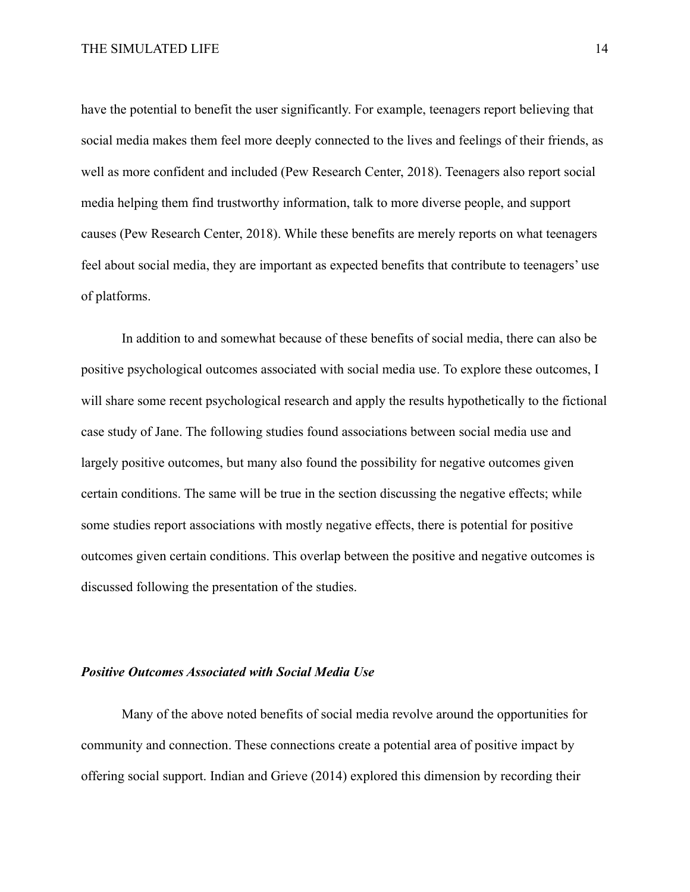have the potential to benefit the user significantly. For example, teenagers report believing that social media makes them feel more deeply connected to the lives and feelings of their friends, as well as more confident and included (Pew Research Center, 2018). Teenagers also report social media helping them find trustworthy information, talk to more diverse people, and support causes (Pew Research Center, 2018). While these benefits are merely reports on what teenagers feel about social media, they are important as expected benefits that contribute to teenagers' use of platforms.

In addition to and somewhat because of these benefits of social media, there can also be positive psychological outcomes associated with social media use. To explore these outcomes, I will share some recent psychological research and apply the results hypothetically to the fictional case study of Jane. The following studies found associations between social media use and largely positive outcomes, but many also found the possibility for negative outcomes given certain conditions. The same will be true in the section discussing the negative effects; while some studies report associations with mostly negative effects, there is potential for positive outcomes given certain conditions. This overlap between the positive and negative outcomes is discussed following the presentation of the studies.

## *Positive Outcomes Associated with Social Media Use*

Many of the above noted benefits of social media revolve around the opportunities for community and connection. These connections create a potential area of positive impact by offering social support. Indian and Grieve (2014) explored this dimension by recording their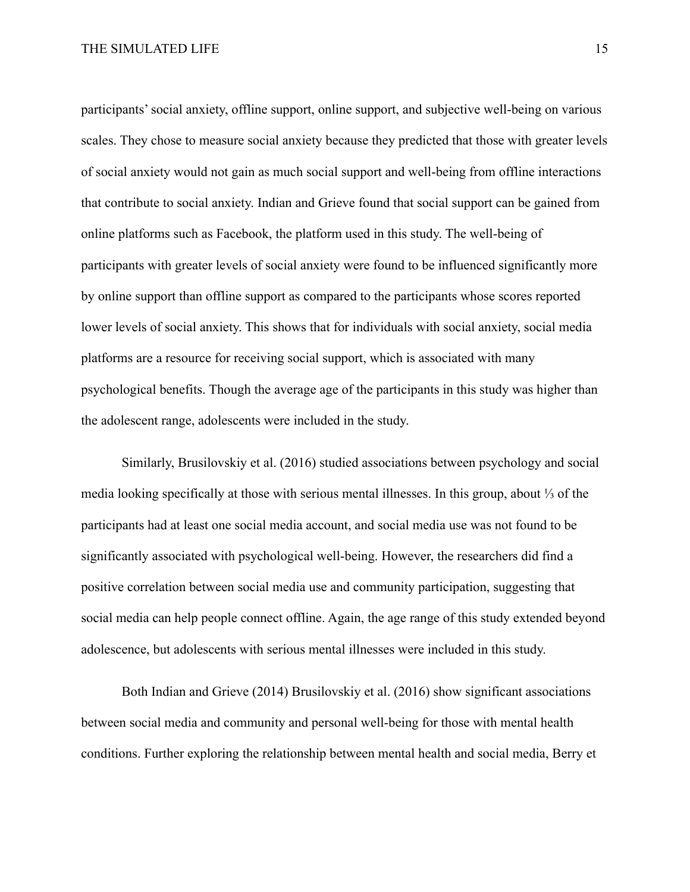participants' social anxiety, offline support, online support, and subjective well-being on various scales. They chose to measure social anxiety because they predicted that those with greater levels of social anxiety would not gain as much social support and well-being from offline interactions that contribute to social anxiety. Indian and Grieve found that social support can be gained from online platforms such as Facebook, the platform used in this study. The well-being of participants with greater levels of social anxiety were found to be influenced significantly more by online support than offline support as compared to the participants whose scores reported lower levels of social anxiety. This shows that for individuals with social anxiety, social media platforms are a resource for receiving social support, which is associated with many psychological benefits. Though the average age of the participants in this study was higher than the adolescent range, adolescents were included in the study.

Similarly, Brusilovskiy et al. (2016) studied associations between psychology and social media looking specifically at those with serious mental illnesses. In this group, about ⅓ of the participants had at least one social media account, and social media use was not found to be significantly associated with psychological well-being. However, the researchers did find a positive correlation between social media use and community participation, suggesting that social media can help people connect offline. Again, the age range of this study extended beyond adolescence, but adolescents with serious mental illnesses were included in this study.

Both Indian and Grieve (2014) Brusilovskiy et al. (2016) show significant associations between social media and community and personal well-being for those with mental health conditions. Further exploring the relationship between mental health and social media, Berry et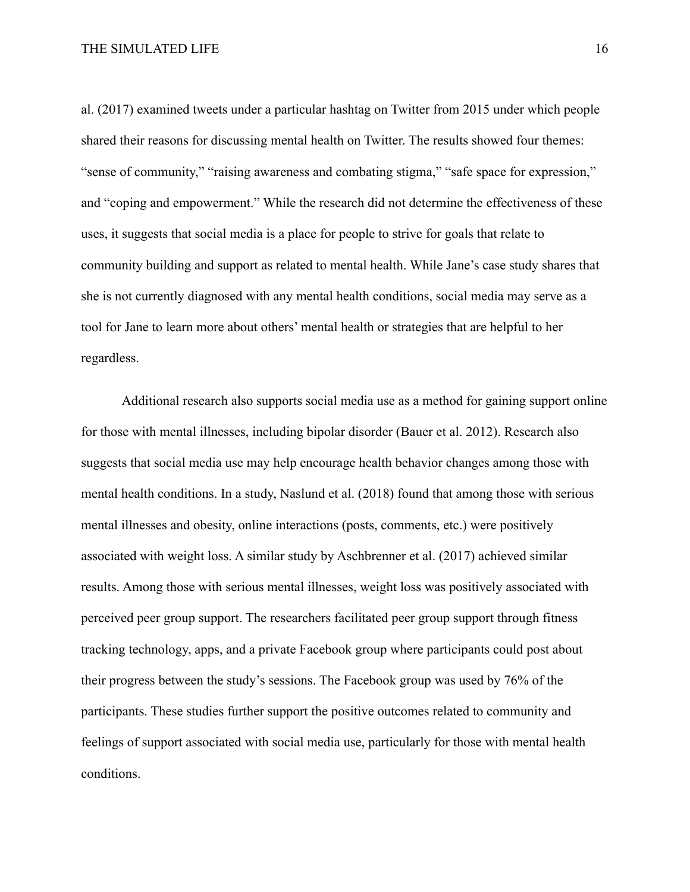al. (2017) examined tweets under a particular hashtag on Twitter from 2015 under which people shared their reasons for discussing mental health on Twitter. The results showed four themes: "sense of community," "raising awareness and combating stigma," "safe space for expression," and "coping and empowerment." While the research did not determine the effectiveness of these uses, it suggests that social media is a place for people to strive for goals that relate to community building and support as related to mental health. While Jane's case study shares that she is not currently diagnosed with any mental health conditions, social media may serve as a tool for Jane to learn more about others' mental health or strategies that are helpful to her regardless.

Additional research also supports social media use as a method for gaining support online for those with mental illnesses, including bipolar disorder (Bauer et al. 2012). Research also suggests that social media use may help encourage health behavior changes among those with mental health conditions. In a study, Naslund et al. (2018) found that among those with serious mental illnesses and obesity, online interactions (posts, comments, etc.) were positively associated with weight loss. A similar study by Aschbrenner et al. (2017) achieved similar results. Among those with serious mental illnesses, weight loss was positively associated with perceived peer group support. The researchers facilitated peer group support through fitness tracking technology, apps, and a private Facebook group where participants could post about their progress between the study's sessions. The Facebook group was used by 76% of the participants. These studies further support the positive outcomes related to community and feelings of support associated with social media use, particularly for those with mental health conditions.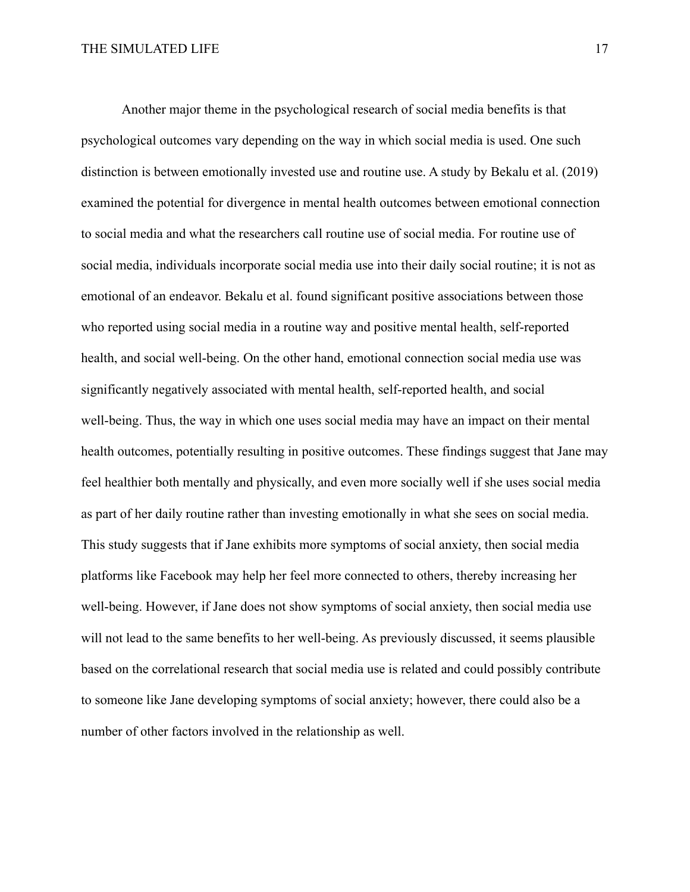Another major theme in the psychological research of social media benefits is that psychological outcomes vary depending on the way in which social media is used. One such distinction is between emotionally invested use and routine use. A study by Bekalu et al. (2019) examined the potential for divergence in mental health outcomes between emotional connection to social media and what the researchers call routine use of social media. For routine use of social media, individuals incorporate social media use into their daily social routine; it is not as emotional of an endeavor. Bekalu et al. found significant positive associations between those who reported using social media in a routine way and positive mental health, self-reported health, and social well-being. On the other hand, emotional connection social media use was significantly negatively associated with mental health, self-reported health, and social well-being. Thus, the way in which one uses social media may have an impact on their mental health outcomes, potentially resulting in positive outcomes. These findings suggest that Jane may feel healthier both mentally and physically, and even more socially well if she uses social media as part of her daily routine rather than investing emotionally in what she sees on social media. This study suggests that if Jane exhibits more symptoms of social anxiety, then social media platforms like Facebook may help her feel more connected to others, thereby increasing her well-being. However, if Jane does not show symptoms of social anxiety, then social media use will not lead to the same benefits to her well-being. As previously discussed, it seems plausible based on the correlational research that social media use is related and could possibly contribute to someone like Jane developing symptoms of social anxiety; however, there could also be a number of other factors involved in the relationship as well.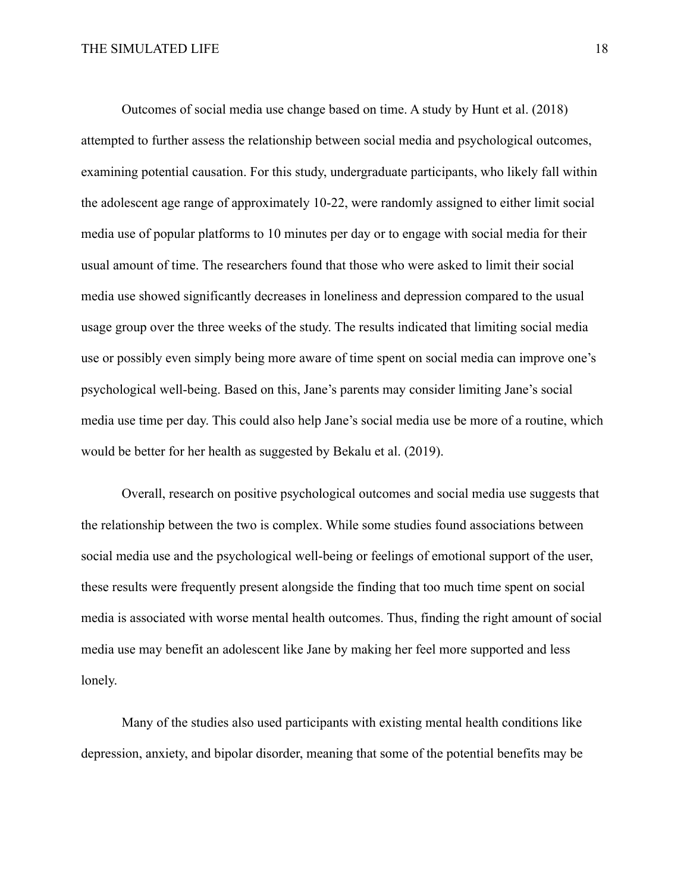Outcomes of social media use change based on time. A study by Hunt et al. (2018) attempted to further assess the relationship between social media and psychological outcomes, examining potential causation. For this study, undergraduate participants, who likely fall within the adolescent age range of approximately 10-22, were randomly assigned to either limit social media use of popular platforms to 10 minutes per day or to engage with social media for their usual amount of time. The researchers found that those who were asked to limit their social media use showed significantly decreases in loneliness and depression compared to the usual usage group over the three weeks of the study. The results indicated that limiting social media use or possibly even simply being more aware of time spent on social media can improve one's psychological well-being. Based on this, Jane's parents may consider limiting Jane's social media use time per day. This could also help Jane's social media use be more of a routine, which would be better for her health as suggested by Bekalu et al. (2019).

Overall, research on positive psychological outcomes and social media use suggests that the relationship between the two is complex. While some studies found associations between social media use and the psychological well-being or feelings of emotional support of the user, these results were frequently present alongside the finding that too much time spent on social media is associated with worse mental health outcomes. Thus, finding the right amount of social media use may benefit an adolescent like Jane by making her feel more supported and less lonely.

Many of the studies also used participants with existing mental health conditions like depression, anxiety, and bipolar disorder, meaning that some of the potential benefits may be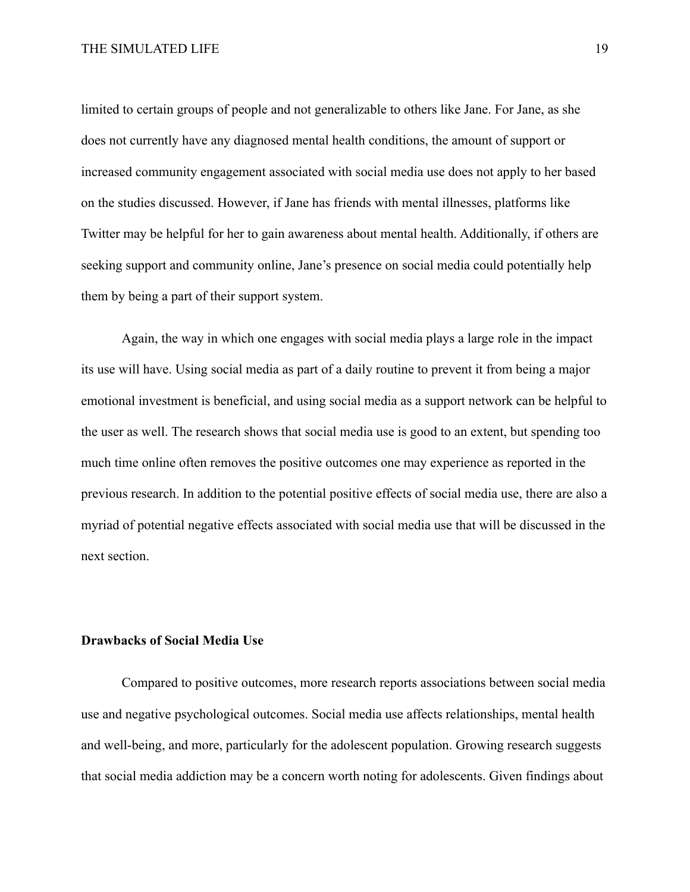limited to certain groups of people and not generalizable to others like Jane. For Jane, as she does not currently have any diagnosed mental health conditions, the amount of support or increased community engagement associated with social media use does not apply to her based on the studies discussed. However, if Jane has friends with mental illnesses, platforms like Twitter may be helpful for her to gain awareness about mental health. Additionally, if others are seeking support and community online, Jane's presence on social media could potentially help them by being a part of their support system.

Again, the way in which one engages with social media plays a large role in the impact its use will have. Using social media as part of a daily routine to prevent it from being a major emotional investment is beneficial, and using social media as a support network can be helpful to the user as well. The research shows that social media use is good to an extent, but spending too much time online often removes the positive outcomes one may experience as reported in the previous research. In addition to the potential positive effects of social media use, there are also a myriad of potential negative effects associated with social media use that will be discussed in the next section.

## **Drawbacks of Social Media Use**

Compared to positive outcomes, more research reports associations between social media use and negative psychological outcomes. Social media use affects relationships, mental health and well-being, and more, particularly for the adolescent population. Growing research suggests that social media addiction may be a concern worth noting for adolescents. Given findings about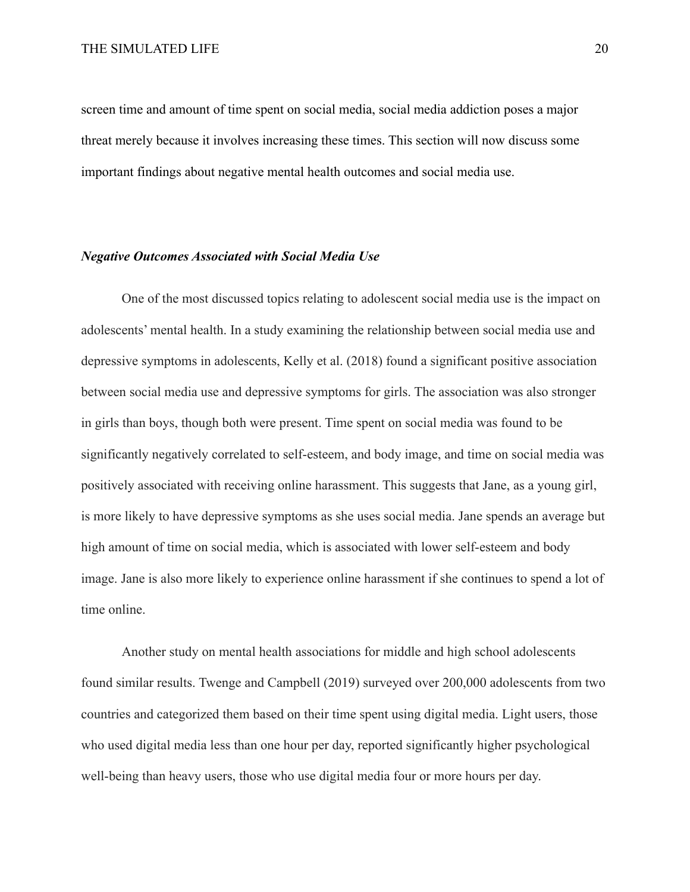screen time and amount of time spent on social media, social media addiction poses a major threat merely because it involves increasing these times. This section will now discuss some important findings about negative mental health outcomes and social media use.

#### *Negative Outcomes Associated with Social Media Use*

One of the most discussed topics relating to adolescent social media use is the impact on adolescents' mental health. In a study examining the relationship between social media use and depressive symptoms in adolescents, Kelly et al. (2018) found a significant positive association between social media use and depressive symptoms for girls. The association was also stronger in girls than boys, though both were present. Time spent on social media was found to be significantly negatively correlated to self-esteem, and body image, and time on social media was positively associated with receiving online harassment. This suggests that Jane, as a young girl, is more likely to have depressive symptoms as she uses social media. Jane spends an average but high amount of time on social media, which is associated with lower self-esteem and body image. Jane is also more likely to experience online harassment if she continues to spend a lot of time online.

Another study on mental health associations for middle and high school adolescents found similar results. Twenge and Campbell (2019) surveyed over 200,000 adolescents from two countries and categorized them based on their time spent using digital media. Light users, those who used digital media less than one hour per day, reported significantly higher psychological well-being than heavy users, those who use digital media four or more hours per day.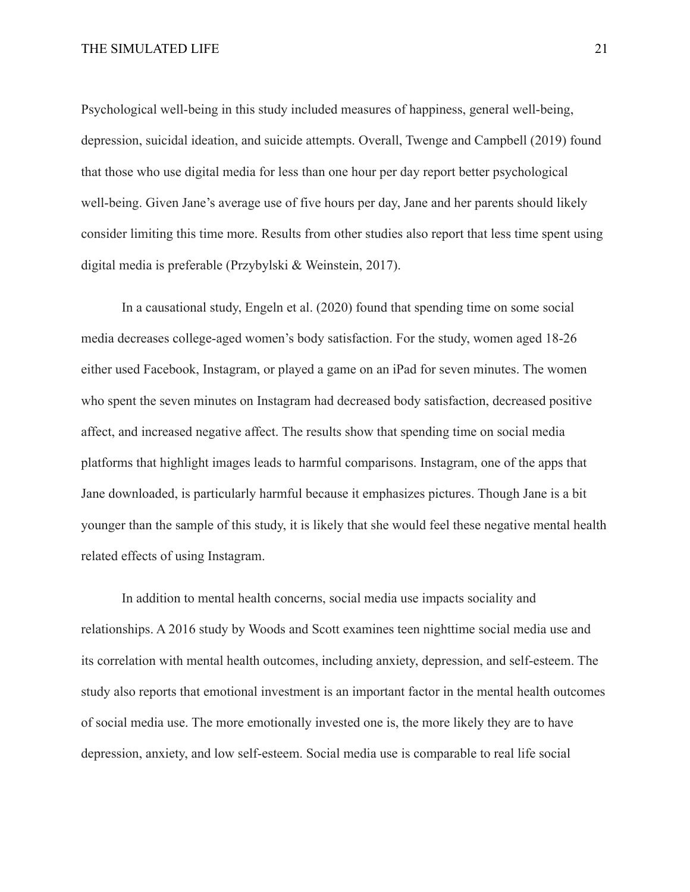Psychological well-being in this study included measures of happiness, general well-being, depression, suicidal ideation, and suicide attempts. Overall, Twenge and Campbell (2019) found that those who use digital media for less than one hour per day report better psychological well-being. Given Jane's average use of five hours per day, Jane and her parents should likely consider limiting this time more. Results from other studies also report that less time spent using digital media is preferable (Przybylski & Weinstein, 2017).

In a causational study, Engeln et al. (2020) found that spending time on some social media decreases college-aged women's body satisfaction. For the study, women aged 18-26 either used Facebook, Instagram, or played a game on an iPad for seven minutes. The women who spent the seven minutes on Instagram had decreased body satisfaction, decreased positive affect, and increased negative affect. The results show that spending time on social media platforms that highlight images leads to harmful comparisons. Instagram, one of the apps that Jane downloaded, is particularly harmful because it emphasizes pictures. Though Jane is a bit younger than the sample of this study, it is likely that she would feel these negative mental health related effects of using Instagram.

In addition to mental health concerns, social media use impacts sociality and relationships. A 2016 study by Woods and Scott examines teen nighttime social media use and its correlation with mental health outcomes, including anxiety, depression, and self-esteem. The study also reports that emotional investment is an important factor in the mental health outcomes of social media use. The more emotionally invested one is, the more likely they are to have depression, anxiety, and low self-esteem. Social media use is comparable to real life social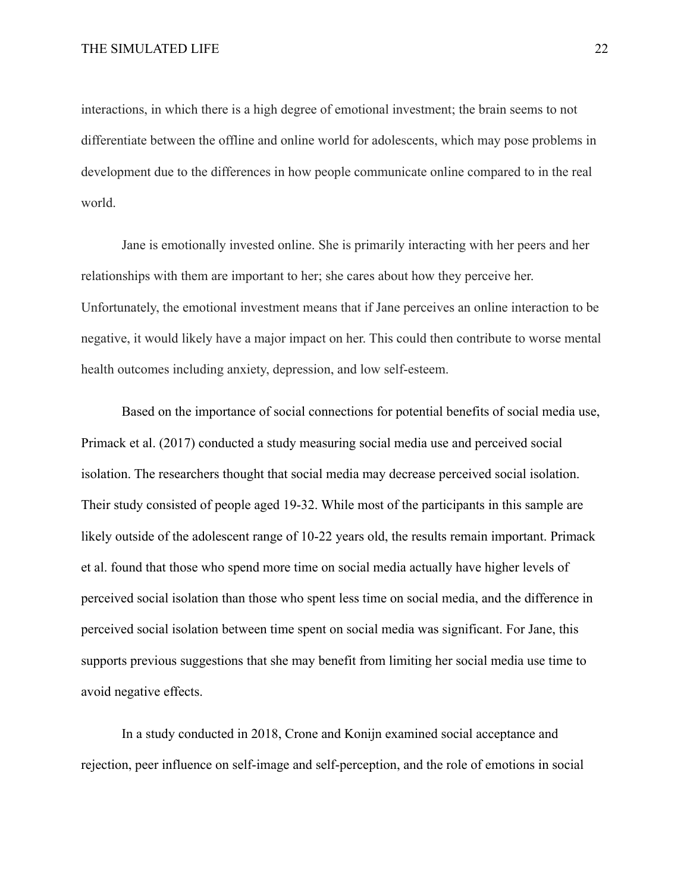interactions, in which there is a high degree of emotional investment; the brain seems to not differentiate between the offline and online world for adolescents, which may pose problems in development due to the differences in how people communicate online compared to in the real world.

Jane is emotionally invested online. She is primarily interacting with her peers and her relationships with them are important to her; she cares about how they perceive her. Unfortunately, the emotional investment means that if Jane perceives an online interaction to be negative, it would likely have a major impact on her. This could then contribute to worse mental health outcomes including anxiety, depression, and low self-esteem.

Based on the importance of social connections for potential benefits of social media use, Primack et al. (2017) conducted a study measuring social media use and perceived social isolation. The researchers thought that social media may decrease perceived social isolation. Their study consisted of people aged 19-32. While most of the participants in this sample are likely outside of the adolescent range of 10-22 years old, the results remain important. Primack et al. found that those who spend more time on social media actually have higher levels of perceived social isolation than those who spent less time on social media, and the difference in perceived social isolation between time spent on social media was significant. For Jane, this supports previous suggestions that she may benefit from limiting her social media use time to avoid negative effects.

In a study conducted in 2018, Crone and Konijn examined social acceptance and rejection, peer influence on self-image and self-perception, and the role of emotions in social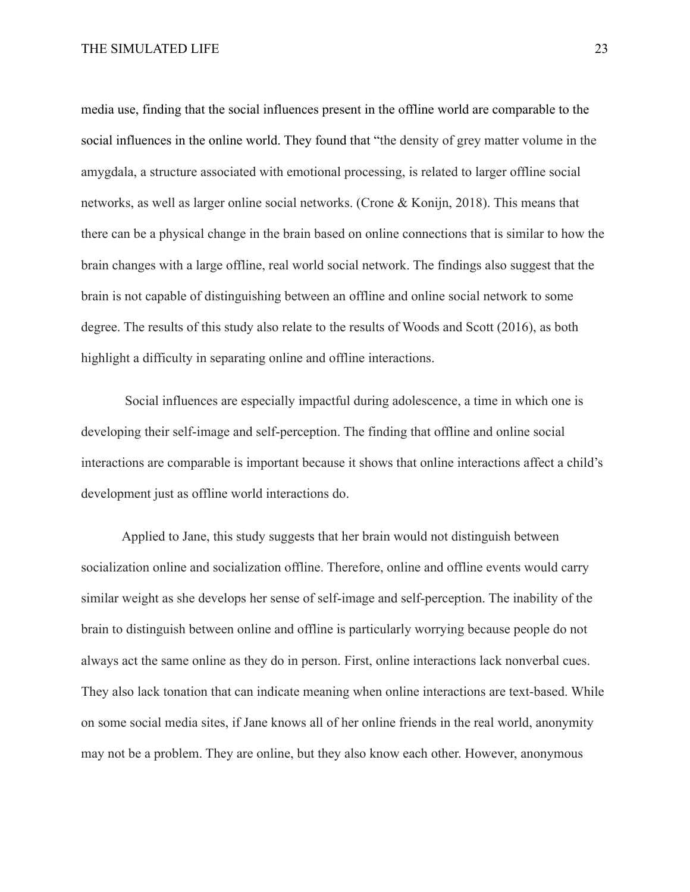media use, finding that the social influences present in the offline world are comparable to the social influences in the online world. They found that "the density of grey matter volume in the amygdala, a structure associated with emotional processing, is related to larger offline social networks, as well as larger online social networks. (Crone & Konijn, 2018). This means that there can be a physical change in the brain based on online connections that is similar to how the brain changes with a large offline, real world social network. The findings also suggest that the brain is not capable of distinguishing between an offline and online social network to some degree. The results of this study also relate to the results of Woods and Scott (2016), as both highlight a difficulty in separating online and offline interactions.

Social influences are especially impactful during adolescence, a time in which one is developing their self-image and self-perception. The finding that offline and online social interactions are comparable is important because it shows that online interactions affect a child's development just as offline world interactions do.

Applied to Jane, this study suggests that her brain would not distinguish between socialization online and socialization offline. Therefore, online and offline events would carry similar weight as she develops her sense of self-image and self-perception. The inability of the brain to distinguish between online and offline is particularly worrying because people do not always act the same online as they do in person. First, online interactions lack nonverbal cues. They also lack tonation that can indicate meaning when online interactions are text-based. While on some social media sites, if Jane knows all of her online friends in the real world, anonymity may not be a problem. They are online, but they also know each other. However, anonymous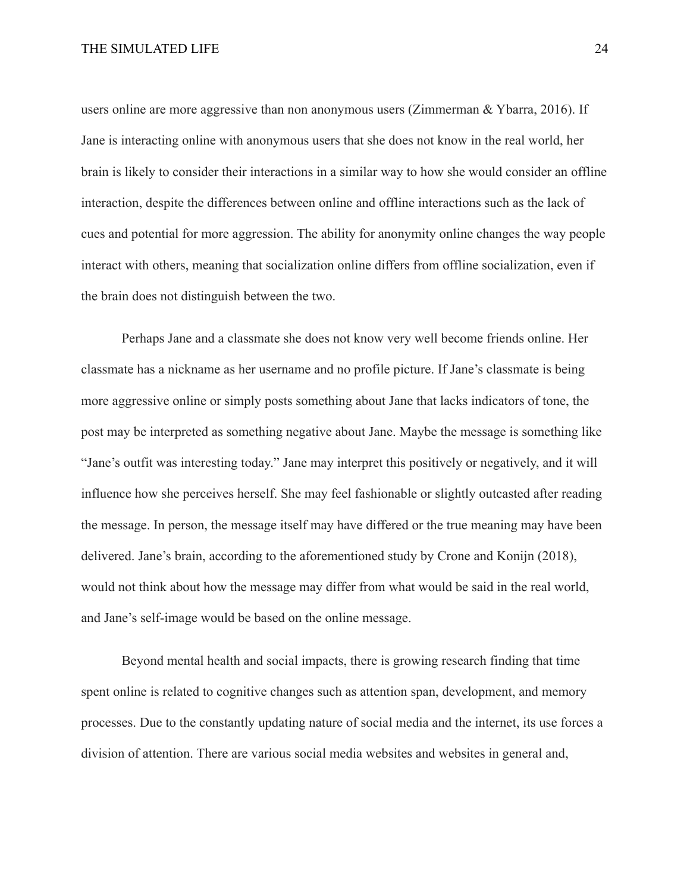users online are more aggressive than non anonymous users (Zimmerman & Ybarra, 2016). If Jane is interacting online with anonymous users that she does not know in the real world, her brain is likely to consider their interactions in a similar way to how she would consider an offline interaction, despite the differences between online and offline interactions such as the lack of cues and potential for more aggression. The ability for anonymity online changes the way people interact with others, meaning that socialization online differs from offline socialization, even if the brain does not distinguish between the two.

Perhaps Jane and a classmate she does not know very well become friends online. Her classmate has a nickname as her username and no profile picture. If Jane's classmate is being more aggressive online or simply posts something about Jane that lacks indicators of tone, the post may be interpreted as something negative about Jane. Maybe the message is something like "Jane's outfit was interesting today." Jane may interpret this positively or negatively, and it will influence how she perceives herself. She may feel fashionable or slightly outcasted after reading the message. In person, the message itself may have differed or the true meaning may have been delivered. Jane's brain, according to the aforementioned study by Crone and Konijn (2018), would not think about how the message may differ from what would be said in the real world, and Jane's self-image would be based on the online message.

Beyond mental health and social impacts, there is growing research finding that time spent online is related to cognitive changes such as attention span, development, and memory processes. Due to the constantly updating nature of social media and the internet, its use forces a division of attention. There are various social media websites and websites in general and,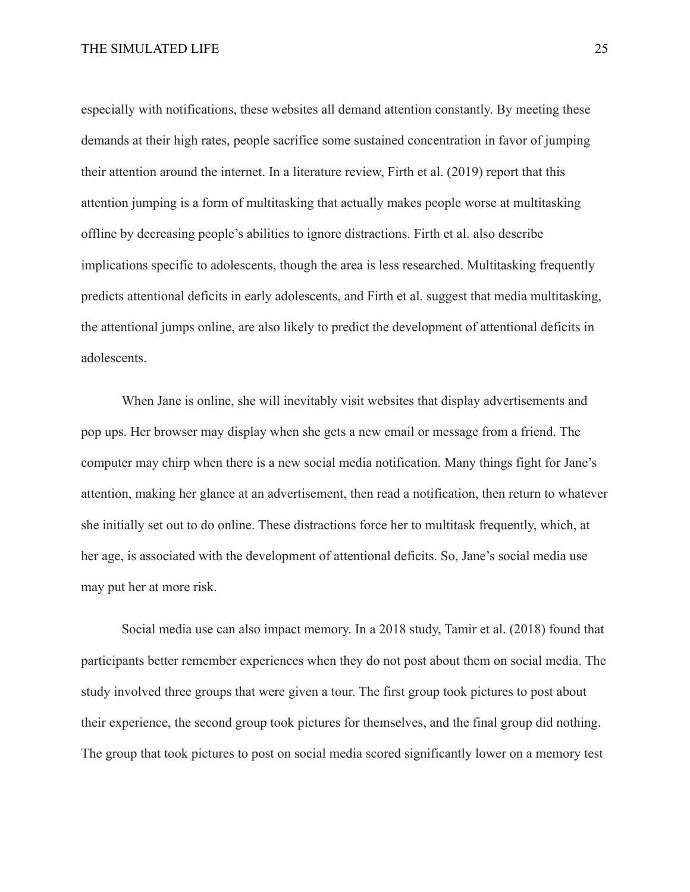especially with notifications, these websites all demand attention constantly. By meeting these demands at their high rates, people sacrifice some sustained concentration in favor of jumping their attention around the internet. In a literature review, Firth et al. (2019) report that this attention jumping is a form of multitasking that actually makes people worse at multitasking offline by decreasing people's abilities to ignore distractions. Firth et al. also describe implications specific to adolescents, though the area is less researched. Multitasking frequently predicts attentional deficits in early adolescents, and Firth et al. suggest that media multitasking, the attentional jumps online, are also likely to predict the development of attentional deficits in adolescents.

When Jane is online, she will inevitably visit websites that display advertisements and pop ups. Her browser may display when she gets a new email or message from a friend. The computer may chirp when there is a new social media notification. Many things fight for Jane's attention, making her glance at an advertisement, then read a notification, then return to whatever she initially set out to do online. These distractions force her to multitask frequently, which, at her age, is associated with the development of attentional deficits. So, Jane's social media use may put her at more risk.

Social media use can also impact memory. In a 2018 study, Tamir et al. (2018) found that participants better remember experiences when they do not post about them on social media. The study involved three groups that were given a tour. The first group took pictures to post about their experience, the second group took pictures for themselves, and the final group did nothing. The group that took pictures to post on social media scored significantly lower on a memory test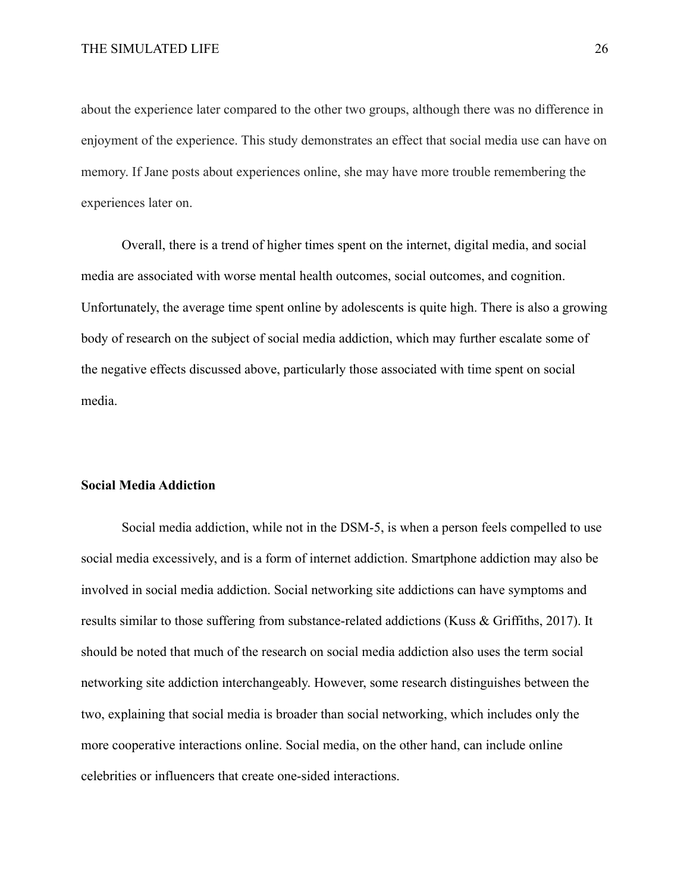about the experience later compared to the other two groups, although there was no difference in enjoyment of the experience. This study demonstrates an effect that social media use can have on memory. If Jane posts about experiences online, she may have more trouble remembering the experiences later on.

Overall, there is a trend of higher times spent on the internet, digital media, and social media are associated with worse mental health outcomes, social outcomes, and cognition. Unfortunately, the average time spent online by adolescents is quite high. There is also a growing body of research on the subject of social media addiction, which may further escalate some of the negative effects discussed above, particularly those associated with time spent on social media.

## **Social Media Addiction**

Social media addiction, while not in the DSM-5, is when a person feels compelled to use social media excessively, and is a form of internet addiction. Smartphone addiction may also be involved in social media addiction. Social networking site addictions can have symptoms and results similar to those suffering from substance-related addictions (Kuss & Griffiths, 2017). It should be noted that much of the research on social media addiction also uses the term social networking site addiction interchangeably. However, some research distinguishes between the two, explaining that social media is broader than social networking, which includes only the more cooperative interactions online. Social media, on the other hand, can include online celebrities or influencers that create one-sided interactions.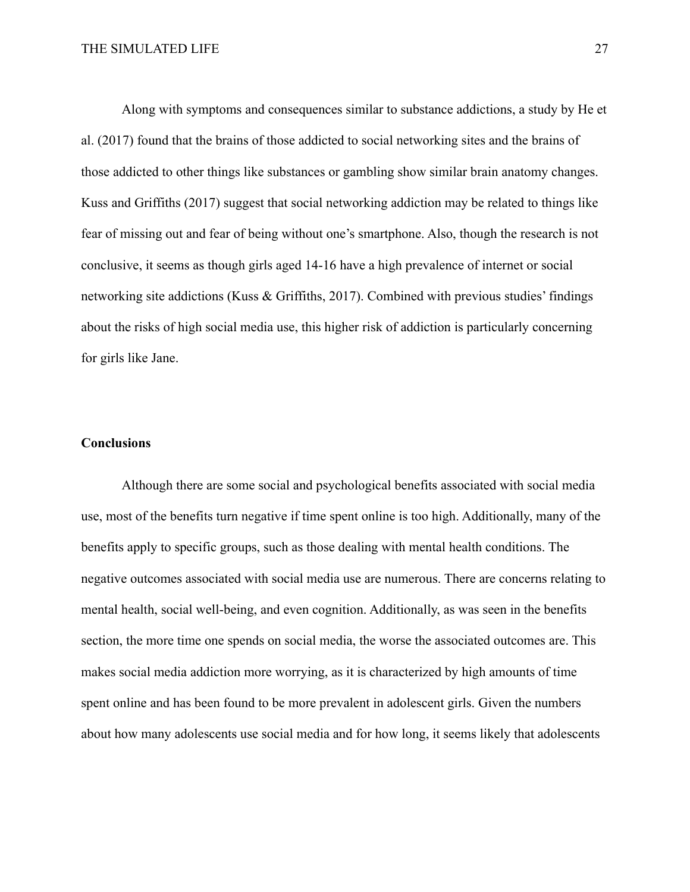Along with symptoms and consequences similar to substance addictions, a study by He et al. (2017) found that the brains of those addicted to social networking sites and the brains of those addicted to other things like substances or gambling show similar brain anatomy changes. Kuss and Griffiths (2017) suggest that social networking addiction may be related to things like fear of missing out and fear of being without one's smartphone. Also, though the research is not conclusive, it seems as though girls aged 14-16 have a high prevalence of internet or social networking site addictions (Kuss & Griffiths, 2017). Combined with previous studies' findings about the risks of high social media use, this higher risk of addiction is particularly concerning for girls like Jane.

## **Conclusions**

Although there are some social and psychological benefits associated with social media use, most of the benefits turn negative if time spent online is too high. Additionally, many of the benefits apply to specific groups, such as those dealing with mental health conditions. The negative outcomes associated with social media use are numerous. There are concerns relating to mental health, social well-being, and even cognition. Additionally, as was seen in the benefits section, the more time one spends on social media, the worse the associated outcomes are. This makes social media addiction more worrying, as it is characterized by high amounts of time spent online and has been found to be more prevalent in adolescent girls. Given the numbers about how many adolescents use social media and for how long, it seems likely that adolescents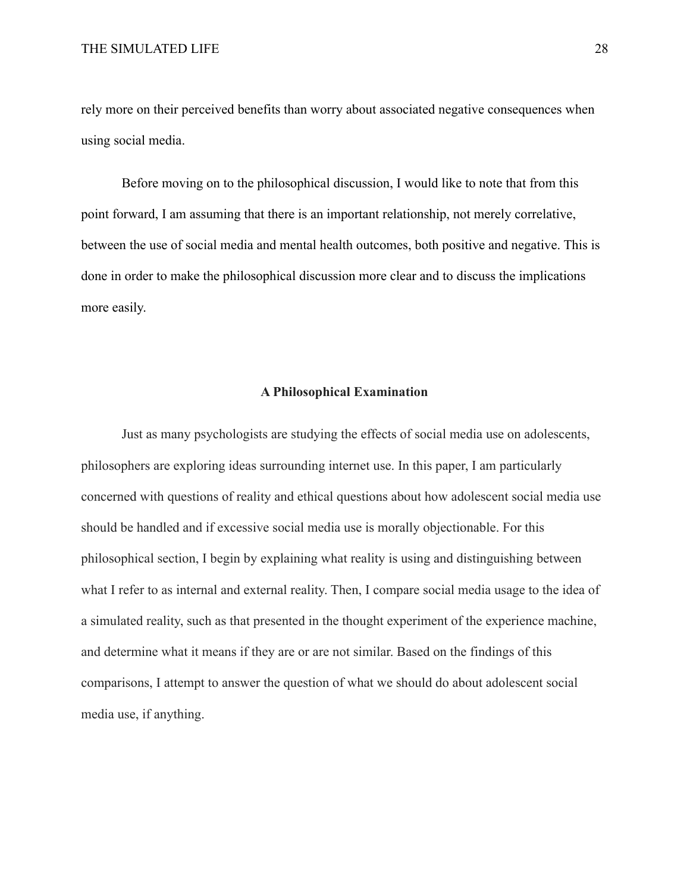rely more on their perceived benefits than worry about associated negative consequences when using social media.

Before moving on to the philosophical discussion, I would like to note that from this point forward, I am assuming that there is an important relationship, not merely correlative, between the use of social media and mental health outcomes, both positive and negative. This is done in order to make the philosophical discussion more clear and to discuss the implications more easily.

## **A Philosophical Examination**

Just as many psychologists are studying the effects of social media use on adolescents, philosophers are exploring ideas surrounding internet use. In this paper, I am particularly concerned with questions of reality and ethical questions about how adolescent social media use should be handled and if excessive social media use is morally objectionable. For this philosophical section, I begin by explaining what reality is using and distinguishing between what I refer to as internal and external reality. Then, I compare social media usage to the idea of a simulated reality, such as that presented in the thought experiment of the experience machine, and determine what it means if they are or are not similar. Based on the findings of this comparisons, I attempt to answer the question of what we should do about adolescent social media use, if anything.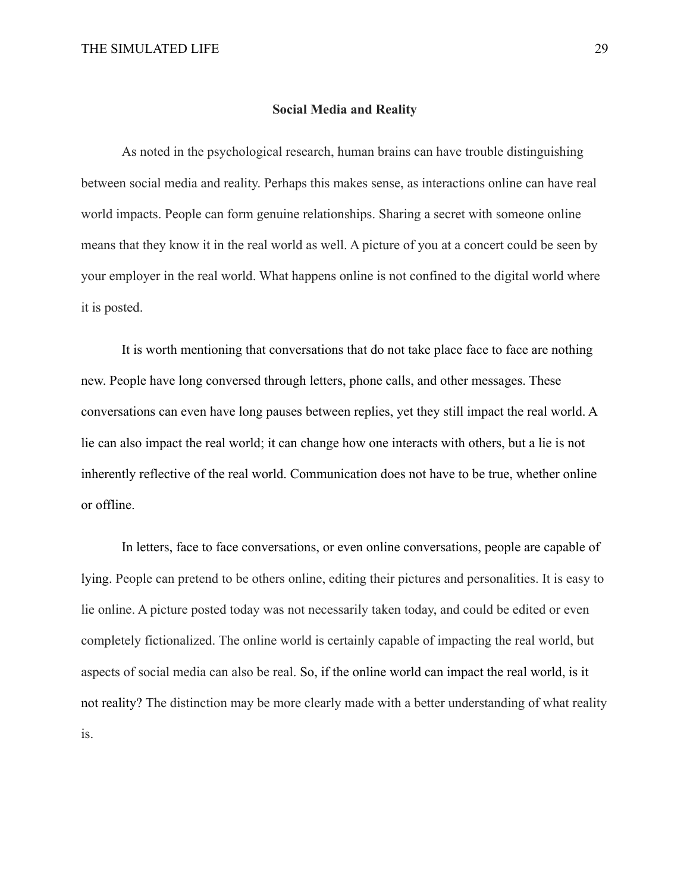#### **Social Media and Reality**

As noted in the psychological research, human brains can have trouble distinguishing between social media and reality. Perhaps this makes sense, as interactions online can have real world impacts. People can form genuine relationships. Sharing a secret with someone online means that they know it in the real world as well. A picture of you at a concert could be seen by your employer in the real world. What happens online is not confined to the digital world where it is posted.

It is worth mentioning that conversations that do not take place face to face are nothing new. People have long conversed through letters, phone calls, and other messages. These conversations can even have long pauses between replies, yet they still impact the real world. A lie can also impact the real world; it can change how one interacts with others, but a lie is not inherently reflective of the real world. Communication does not have to be true, whether online or offline.

In letters, face to face conversations, or even online conversations, people are capable of lying. People can pretend to be others online, editing their pictures and personalities. It is easy to lie online. A picture posted today was not necessarily taken today, and could be edited or even completely fictionalized. The online world is certainly capable of impacting the real world, but aspects of social media can also be real. So, if the online world can impact the real world, is it not reality? The distinction may be more clearly made with a better understanding of what reality is.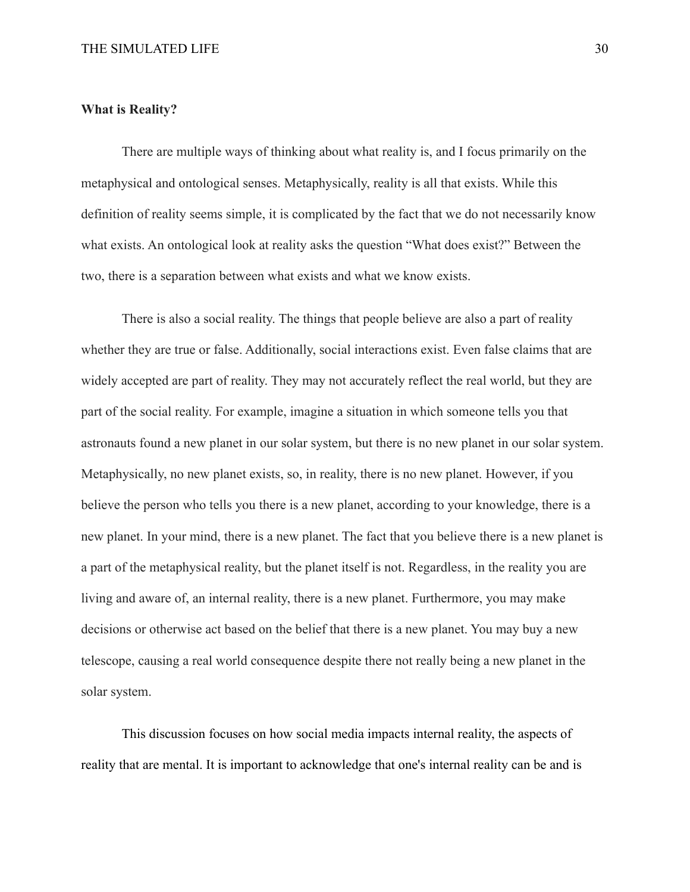#### **What is Reality?**

There are multiple ways of thinking about what reality is, and I focus primarily on the metaphysical and ontological senses. Metaphysically, reality is all that exists. While this definition of reality seems simple, it is complicated by the fact that we do not necessarily know what exists. An ontological look at reality asks the question "What does exist?" Between the two, there is a separation between what exists and what we know exists.

There is also a social reality. The things that people believe are also a part of reality whether they are true or false. Additionally, social interactions exist. Even false claims that are widely accepted are part of reality. They may not accurately reflect the real world, but they are part of the social reality. For example, imagine a situation in which someone tells you that astronauts found a new planet in our solar system, but there is no new planet in our solar system. Metaphysically, no new planet exists, so, in reality, there is no new planet. However, if you believe the person who tells you there is a new planet, according to your knowledge, there is a new planet. In your mind, there is a new planet. The fact that you believe there is a new planet is a part of the metaphysical reality, but the planet itself is not. Regardless, in the reality you are living and aware of, an internal reality, there is a new planet. Furthermore, you may make decisions or otherwise act based on the belief that there is a new planet. You may buy a new telescope, causing a real world consequence despite there not really being a new planet in the solar system.

This discussion focuses on how social media impacts internal reality, the aspects of reality that are mental. It is important to acknowledge that one's internal reality can be and is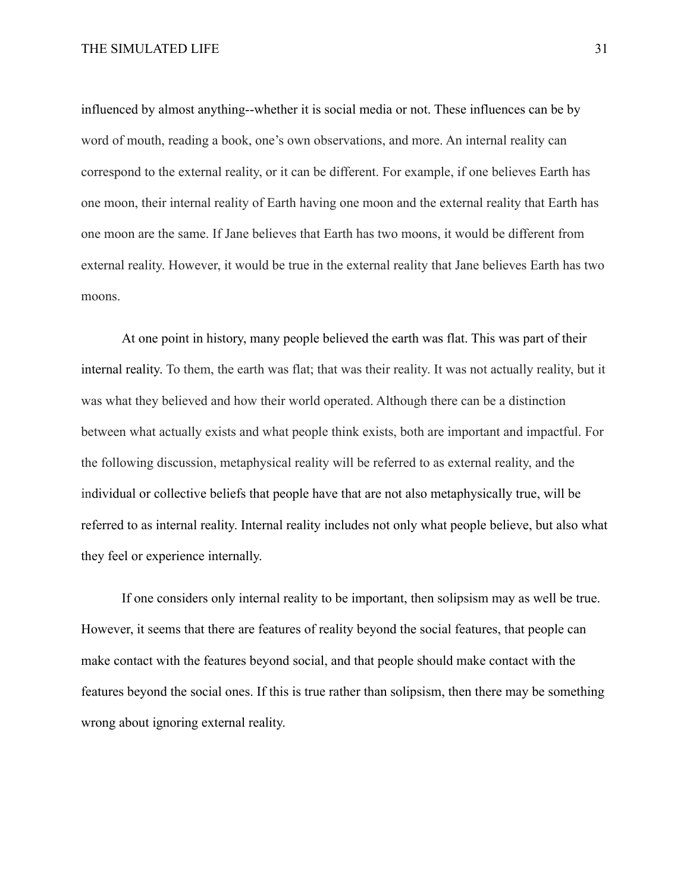influenced by almost anything--whether it is social media or not. These influences can be by word of mouth, reading a book, one's own observations, and more. An internal reality can correspond to the external reality, or it can be different. For example, if one believes Earth has one moon, their internal reality of Earth having one moon and the external reality that Earth has one moon are the same. If Jane believes that Earth has two moons, it would be different from external reality. However, it would be true in the external reality that Jane believes Earth has two moons.

At one point in history, many people believed the earth was flat. This was part of their internal reality. To them, the earth was flat; that was their reality. It was not actually reality, but it was what they believed and how their world operated. Although there can be a distinction between what actually exists and what people think exists, both are important and impactful. For the following discussion, metaphysical reality will be referred to as external reality, and the individual or collective beliefs that people have that are not also metaphysically true, will be referred to as internal reality. Internal reality includes not only what people believe, but also what they feel or experience internally.

If one considers only internal reality to be important, then solipsism may as well be true. However, it seems that there are features of reality beyond the social features, that people can make contact with the features beyond social, and that people should make contact with the features beyond the social ones. If this is true rather than solipsism, then there may be something wrong about ignoring external reality.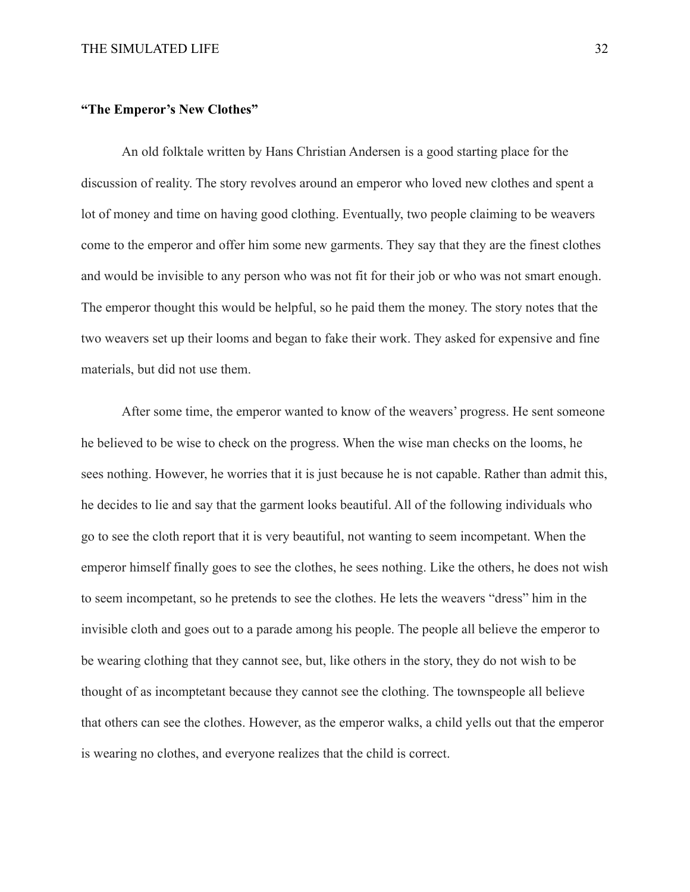## **"The Emperor's New Clothes"**

An old folktale written by Hans Christian Andersen is a good starting place for the discussion of reality. The story revolves around an emperor who loved new clothes and spent a lot of money and time on having good clothing. Eventually, two people claiming to be weavers come to the emperor and offer him some new garments. They say that they are the finest clothes and would be invisible to any person who was not fit for their job or who was not smart enough. The emperor thought this would be helpful, so he paid them the money. The story notes that the two weavers set up their looms and began to fake their work. They asked for expensive and fine materials, but did not use them.

After some time, the emperor wanted to know of the weavers' progress. He sent someone he believed to be wise to check on the progress. When the wise man checks on the looms, he sees nothing. However, he worries that it is just because he is not capable. Rather than admit this, he decides to lie and say that the garment looks beautiful. All of the following individuals who go to see the cloth report that it is very beautiful, not wanting to seem incompetant. When the emperor himself finally goes to see the clothes, he sees nothing. Like the others, he does not wish to seem incompetant, so he pretends to see the clothes. He lets the weavers "dress" him in the invisible cloth and goes out to a parade among his people. The people all believe the emperor to be wearing clothing that they cannot see, but, like others in the story, they do not wish to be thought of as incomptetant because they cannot see the clothing. The townspeople all believe that others can see the clothes. However, as the emperor walks, a child yells out that the emperor is wearing no clothes, and everyone realizes that the child is correct.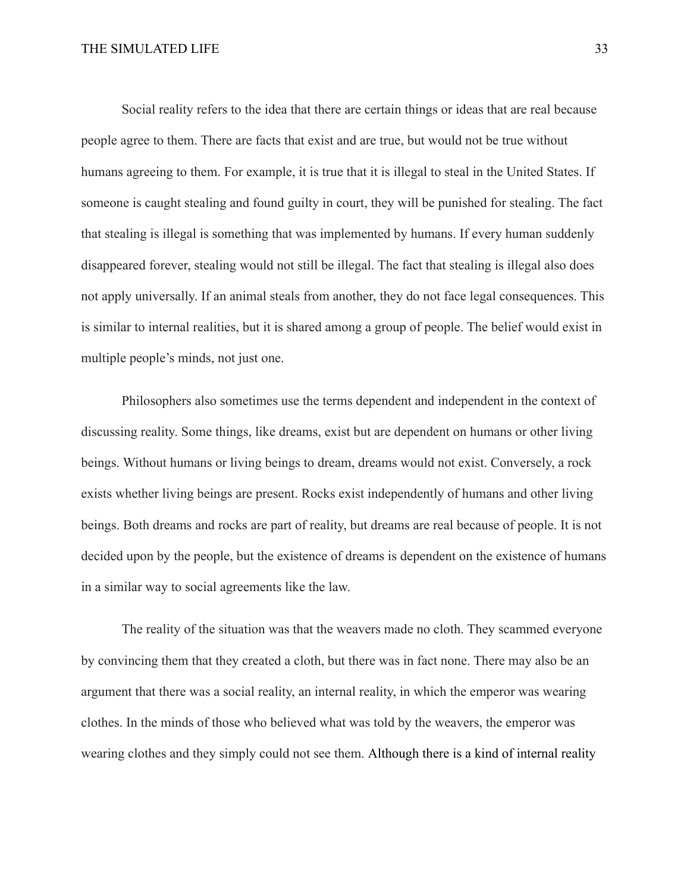Social reality refers to the idea that there are certain things or ideas that are real because people agree to them. There are facts that exist and are true, but would not be true without humans agreeing to them. For example, it is true that it is illegal to steal in the United States. If someone is caught stealing and found guilty in court, they will be punished for stealing. The fact that stealing is illegal is something that was implemented by humans. If every human suddenly disappeared forever, stealing would not still be illegal. The fact that stealing is illegal also does not apply universally. If an animal steals from another, they do not face legal consequences. This is similar to internal realities, but it is shared among a group of people. The belief would exist in multiple people's minds, not just one.

Philosophers also sometimes use the terms dependent and independent in the context of discussing reality. Some things, like dreams, exist but are dependent on humans or other living beings. Without humans or living beings to dream, dreams would not exist. Conversely, a rock exists whether living beings are present. Rocks exist independently of humans and other living beings. Both dreams and rocks are part of reality, but dreams are real because of people. It is not decided upon by the people, but the existence of dreams is dependent on the existence of humans in a similar way to social agreements like the law.

The reality of the situation was that the weavers made no cloth. They scammed everyone by convincing them that they created a cloth, but there was in fact none. There may also be an argument that there was a social reality, an internal reality, in which the emperor was wearing clothes. In the minds of those who believed what was told by the weavers, the emperor was wearing clothes and they simply could not see them. Although there is a kind of internal reality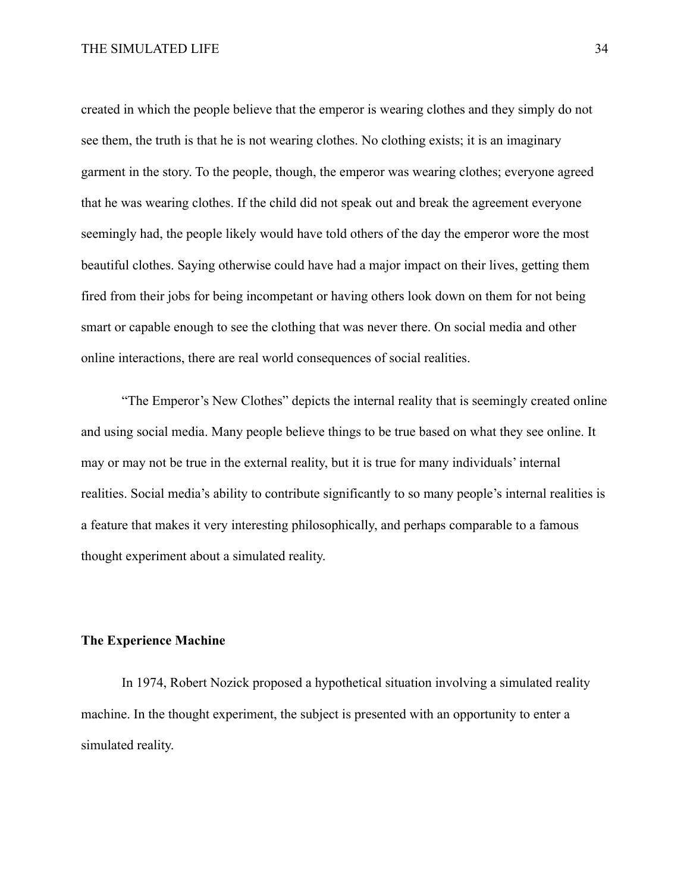created in which the people believe that the emperor is wearing clothes and they simply do not see them, the truth is that he is not wearing clothes. No clothing exists; it is an imaginary garment in the story. To the people, though, the emperor was wearing clothes; everyone agreed that he was wearing clothes. If the child did not speak out and break the agreement everyone seemingly had, the people likely would have told others of the day the emperor wore the most beautiful clothes. Saying otherwise could have had a major impact on their lives, getting them fired from their jobs for being incompetant or having others look down on them for not being smart or capable enough to see the clothing that was never there. On social media and other online interactions, there are real world consequences of social realities.

"The Emperor's New Clothes" depicts the internal reality that is seemingly created online and using social media. Many people believe things to be true based on what they see online. It may or may not be true in the external reality, but it is true for many individuals' internal realities. Social media's ability to contribute significantly to so many people's internal realities is a feature that makes it very interesting philosophically, and perhaps comparable to a famous thought experiment about a simulated reality.

## **The Experience Machine**

In 1974, Robert Nozick proposed a hypothetical situation involving a simulated reality machine. In the thought experiment, the subject is presented with an opportunity to enter a simulated reality.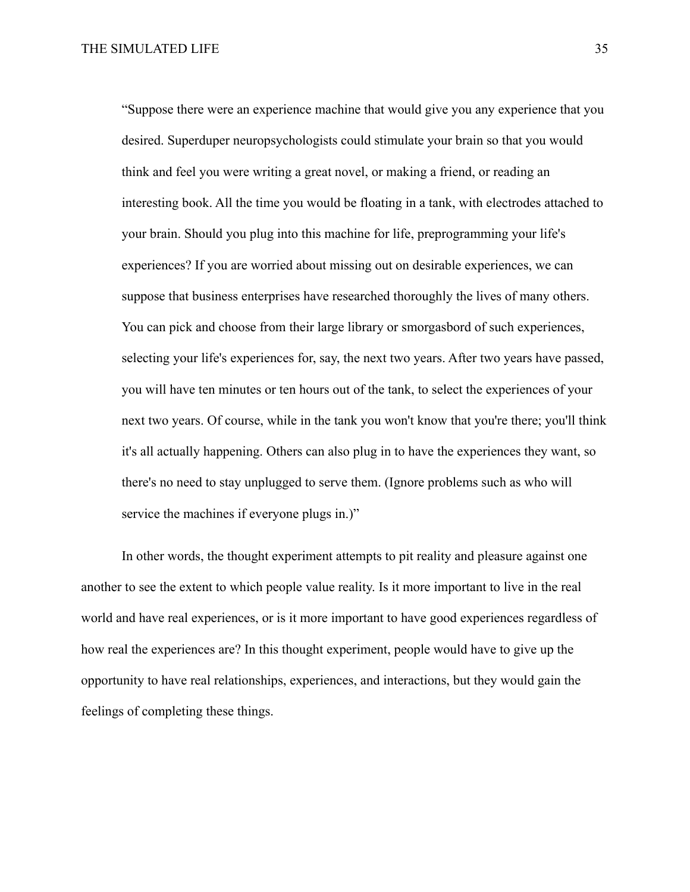"Suppose there were an experience machine that would give you any experience that you desired. Superduper neuropsychologists could stimulate your brain so that you would think and feel you were writing a great novel, or making a friend, or reading an interesting book. All the time you would be floating in a tank, with electrodes attached to your brain. Should you plug into this machine for life, preprogramming your life's experiences? If you are worried about missing out on desirable experiences, we can suppose that business enterprises have researched thoroughly the lives of many others. You can pick and choose from their large library or smorgasbord of such experiences, selecting your life's experiences for, say, the next two years. After two years have passed, you will have ten minutes or ten hours out of the tank, to select the experiences of your next two years. Of course, while in the tank you won't know that you're there; you'll think it's all actually happening. Others can also plug in to have the experiences they want, so there's no need to stay unplugged to serve them. (Ignore problems such as who will service the machines if everyone plugs in.)"

In other words, the thought experiment attempts to pit reality and pleasure against one another to see the extent to which people value reality. Is it more important to live in the real world and have real experiences, or is it more important to have good experiences regardless of how real the experiences are? In this thought experiment, people would have to give up the opportunity to have real relationships, experiences, and interactions, but they would gain the feelings of completing these things.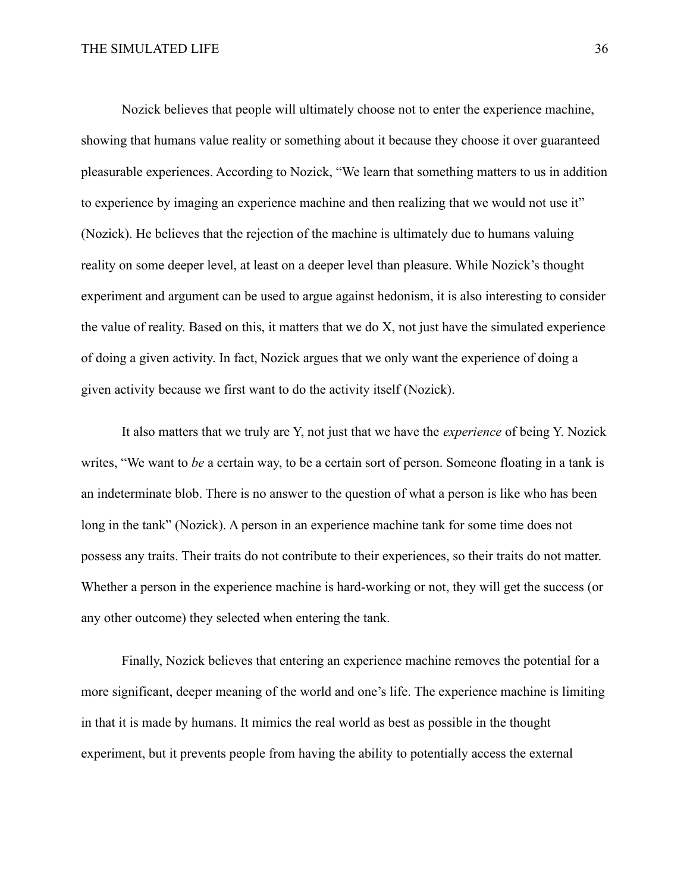Nozick believes that people will ultimately choose not to enter the experience machine, showing that humans value reality or something about it because they choose it over guaranteed pleasurable experiences. According to Nozick, "We learn that something matters to us in addition to experience by imaging an experience machine and then realizing that we would not use it" (Nozick). He believes that the rejection of the machine is ultimately due to humans valuing reality on some deeper level, at least on a deeper level than pleasure. While Nozick's thought experiment and argument can be used to argue against hedonism, it is also interesting to consider the value of reality. Based on this, it matters that we do X, not just have the simulated experience of doing a given activity. In fact, Nozick argues that we only want the experience of doing a given activity because we first want to do the activity itself (Nozick).

It also matters that we truly are Y, not just that we have the *experience* of being Y. Nozick writes, "We want to *be* a certain way, to be a certain sort of person. Someone floating in a tank is an indeterminate blob. There is no answer to the question of what a person is like who has been long in the tank" (Nozick). A person in an experience machine tank for some time does not possess any traits. Their traits do not contribute to their experiences, so their traits do not matter. Whether a person in the experience machine is hard-working or not, they will get the success (or any other outcome) they selected when entering the tank.

Finally, Nozick believes that entering an experience machine removes the potential for a more significant, deeper meaning of the world and one's life. The experience machine is limiting in that it is made by humans. It mimics the real world as best as possible in the thought experiment, but it prevents people from having the ability to potentially access the external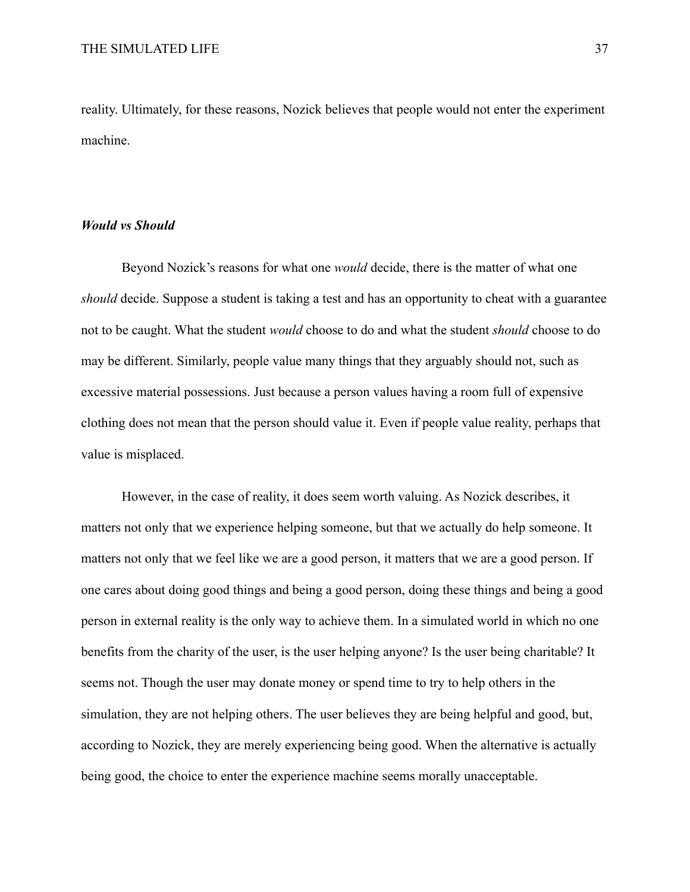reality. Ultimately, for these reasons, Nozick believes that people would not enter the experiment machine.

## *Would vs Should*

Beyond Nozick's reasons for what one *would* decide, there is the matter of what one *should* decide. Suppose a student is taking a test and has an opportunity to cheat with a guarantee not to be caught. What the student *would* choose to do and what the student *should* choose to do may be different. Similarly, people value many things that they arguably should not, such as excessive material possessions. Just because a person values having a room full of expensive clothing does not mean that the person should value it. Even if people value reality, perhaps that value is misplaced.

However, in the case of reality, it does seem worth valuing. As Nozick describes, it matters not only that we experience helping someone, but that we actually do help someone. It matters not only that we feel like we are a good person, it matters that we are a good person. If one cares about doing good things and being a good person, doing these things and being a good person in external reality is the only way to achieve them. In a simulated world in which no one benefits from the charity of the user, is the user helping anyone? Is the user being charitable? It seems not. Though the user may donate money or spend time to try to help others in the simulation, they are not helping others. The user believes they are being helpful and good, but, according to Nozick, they are merely experiencing being good. When the alternative is actually being good, the choice to enter the experience machine seems morally unacceptable.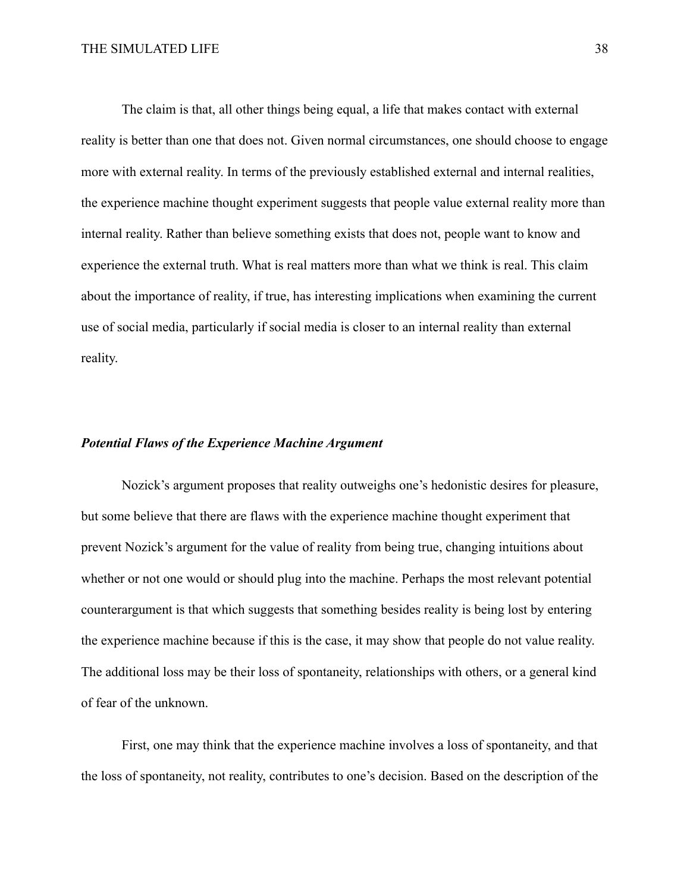The claim is that, all other things being equal, a life that makes contact with external reality is better than one that does not. Given normal circumstances, one should choose to engage more with external reality. In terms of the previously established external and internal realities, the experience machine thought experiment suggests that people value external reality more than internal reality. Rather than believe something exists that does not, people want to know and experience the external truth. What is real matters more than what we think is real. This claim about the importance of reality, if true, has interesting implications when examining the current use of social media, particularly if social media is closer to an internal reality than external reality.

#### *Potential Flaws of the Experience Machine Argument*

Nozick's argument proposes that reality outweighs one's hedonistic desires for pleasure, but some believe that there are flaws with the experience machine thought experiment that prevent Nozick's argument for the value of reality from being true, changing intuitions about whether or not one would or should plug into the machine. Perhaps the most relevant potential counterargument is that which suggests that something besides reality is being lost by entering the experience machine because if this is the case, it may show that people do not value reality. The additional loss may be their loss of spontaneity, relationships with others, or a general kind of fear of the unknown.

First, one may think that the experience machine involves a loss of spontaneity, and that the loss of spontaneity, not reality, contributes to one's decision. Based on the description of the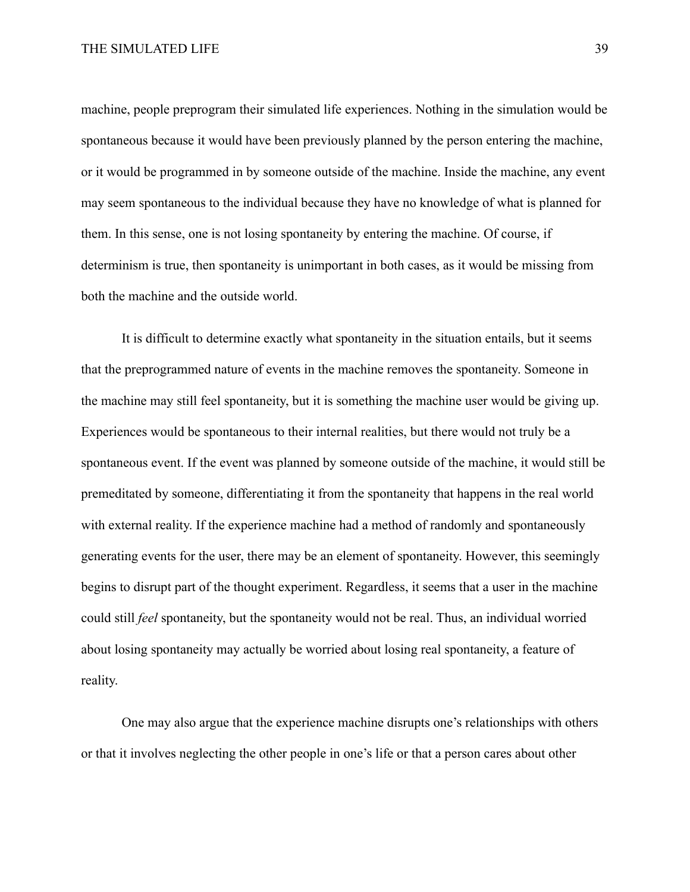machine, people preprogram their simulated life experiences. Nothing in the simulation would be spontaneous because it would have been previously planned by the person entering the machine, or it would be programmed in by someone outside of the machine. Inside the machine, any event may seem spontaneous to the individual because they have no knowledge of what is planned for them. In this sense, one is not losing spontaneity by entering the machine. Of course, if determinism is true, then spontaneity is unimportant in both cases, as it would be missing from both the machine and the outside world.

It is difficult to determine exactly what spontaneity in the situation entails, but it seems that the preprogrammed nature of events in the machine removes the spontaneity. Someone in the machine may still feel spontaneity, but it is something the machine user would be giving up. Experiences would be spontaneous to their internal realities, but there would not truly be a spontaneous event. If the event was planned by someone outside of the machine, it would still be premeditated by someone, differentiating it from the spontaneity that happens in the real world with external reality. If the experience machine had a method of randomly and spontaneously generating events for the user, there may be an element of spontaneity. However, this seemingly begins to disrupt part of the thought experiment. Regardless, it seems that a user in the machine could still *feel* spontaneity, but the spontaneity would not be real. Thus, an individual worried about losing spontaneity may actually be worried about losing real spontaneity, a feature of reality.

One may also argue that the experience machine disrupts one's relationships with others or that it involves neglecting the other people in one's life or that a person cares about other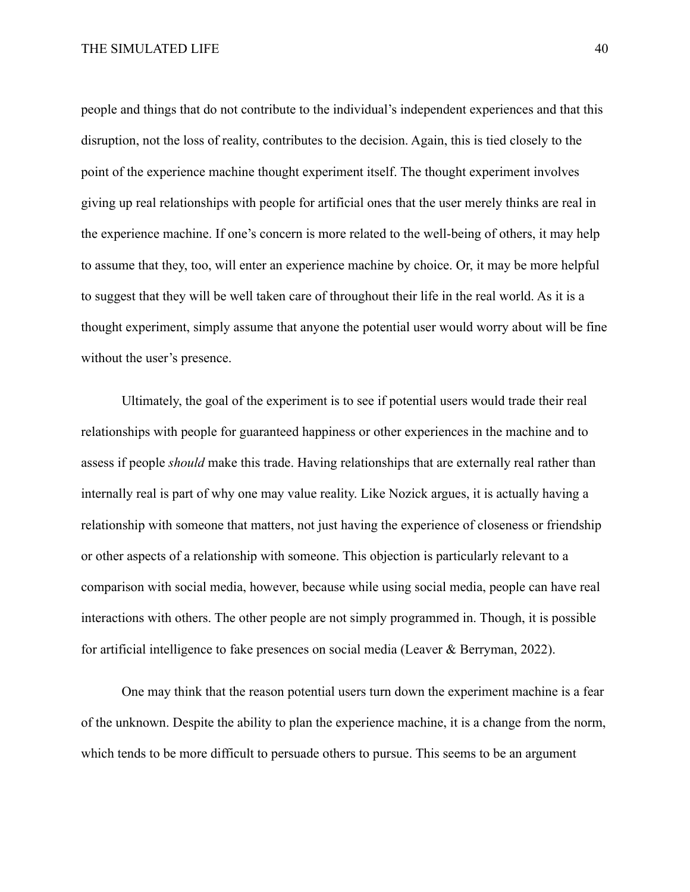people and things that do not contribute to the individual's independent experiences and that this disruption, not the loss of reality, contributes to the decision. Again, this is tied closely to the point of the experience machine thought experiment itself. The thought experiment involves giving up real relationships with people for artificial ones that the user merely thinks are real in the experience machine. If one's concern is more related to the well-being of others, it may help to assume that they, too, will enter an experience machine by choice. Or, it may be more helpful to suggest that they will be well taken care of throughout their life in the real world. As it is a thought experiment, simply assume that anyone the potential user would worry about will be fine without the user's presence.

Ultimately, the goal of the experiment is to see if potential users would trade their real relationships with people for guaranteed happiness or other experiences in the machine and to assess if people *should* make this trade. Having relationships that are externally real rather than internally real is part of why one may value reality. Like Nozick argues, it is actually having a relationship with someone that matters, not just having the experience of closeness or friendship or other aspects of a relationship with someone. This objection is particularly relevant to a comparison with social media, however, because while using social media, people can have real interactions with others. The other people are not simply programmed in. Though, it is possible for artificial intelligence to fake presences on social media (Leaver & Berryman, 2022).

One may think that the reason potential users turn down the experiment machine is a fear of the unknown. Despite the ability to plan the experience machine, it is a change from the norm, which tends to be more difficult to persuade others to pursue. This seems to be an argument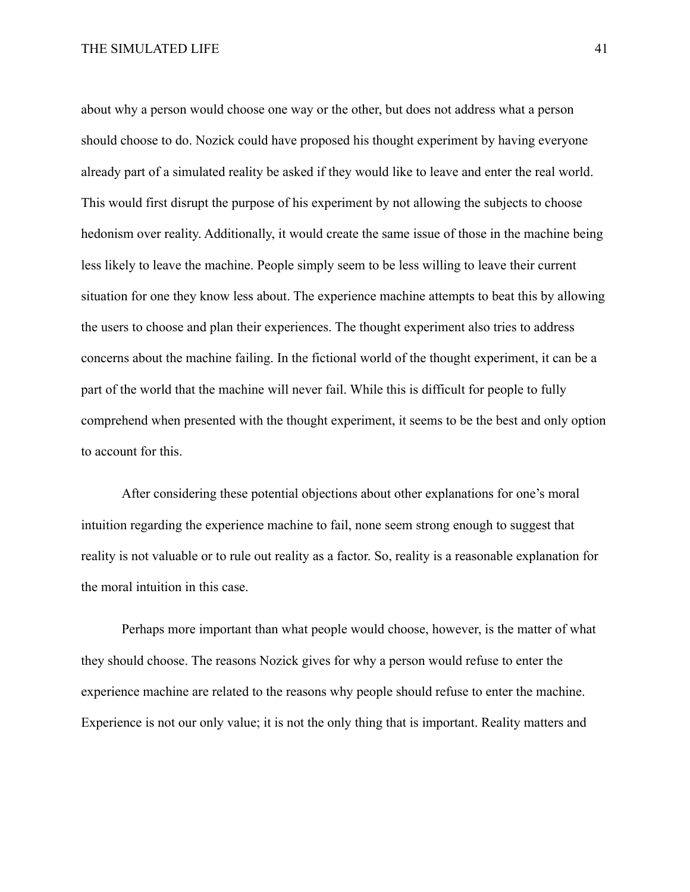about why a person would choose one way or the other, but does not address what a person should choose to do. Nozick could have proposed his thought experiment by having everyone already part of a simulated reality be asked if they would like to leave and enter the real world. This would first disrupt the purpose of his experiment by not allowing the subjects to choose hedonism over reality. Additionally, it would create the same issue of those in the machine being less likely to leave the machine. People simply seem to be less willing to leave their current situation for one they know less about. The experience machine attempts to beat this by allowing the users to choose and plan their experiences. The thought experiment also tries to address concerns about the machine failing. In the fictional world of the thought experiment, it can be a part of the world that the machine will never fail. While this is difficult for people to fully comprehend when presented with the thought experiment, it seems to be the best and only option to account for this.

After considering these potential objections about other explanations for one's moral intuition regarding the experience machine to fail, none seem strong enough to suggest that reality is not valuable or to rule out reality as a factor. So, reality is a reasonable explanation for the moral intuition in this case.

Perhaps more important than what people would choose, however, is the matter of what they should choose. The reasons Nozick gives for why a person would refuse to enter the experience machine are related to the reasons why people should refuse to enter the machine. Experience is not our only value; it is not the only thing that is important. Reality matters and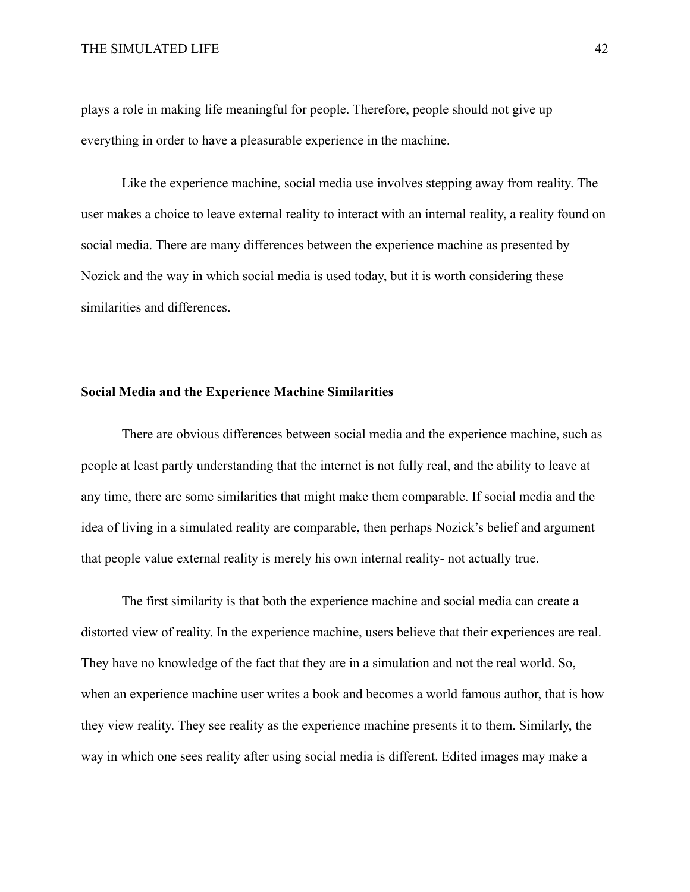plays a role in making life meaningful for people. Therefore, people should not give up everything in order to have a pleasurable experience in the machine.

Like the experience machine, social media use involves stepping away from reality. The user makes a choice to leave external reality to interact with an internal reality, a reality found on social media. There are many differences between the experience machine as presented by Nozick and the way in which social media is used today, but it is worth considering these similarities and differences.

## **Social Media and the Experience Machine Similarities**

There are obvious differences between social media and the experience machine, such as people at least partly understanding that the internet is not fully real, and the ability to leave at any time, there are some similarities that might make them comparable. If social media and the idea of living in a simulated reality are comparable, then perhaps Nozick's belief and argument that people value external reality is merely his own internal reality- not actually true.

The first similarity is that both the experience machine and social media can create a distorted view of reality. In the experience machine, users believe that their experiences are real. They have no knowledge of the fact that they are in a simulation and not the real world. So, when an experience machine user writes a book and becomes a world famous author, that is how they view reality. They see reality as the experience machine presents it to them. Similarly, the way in which one sees reality after using social media is different. Edited images may make a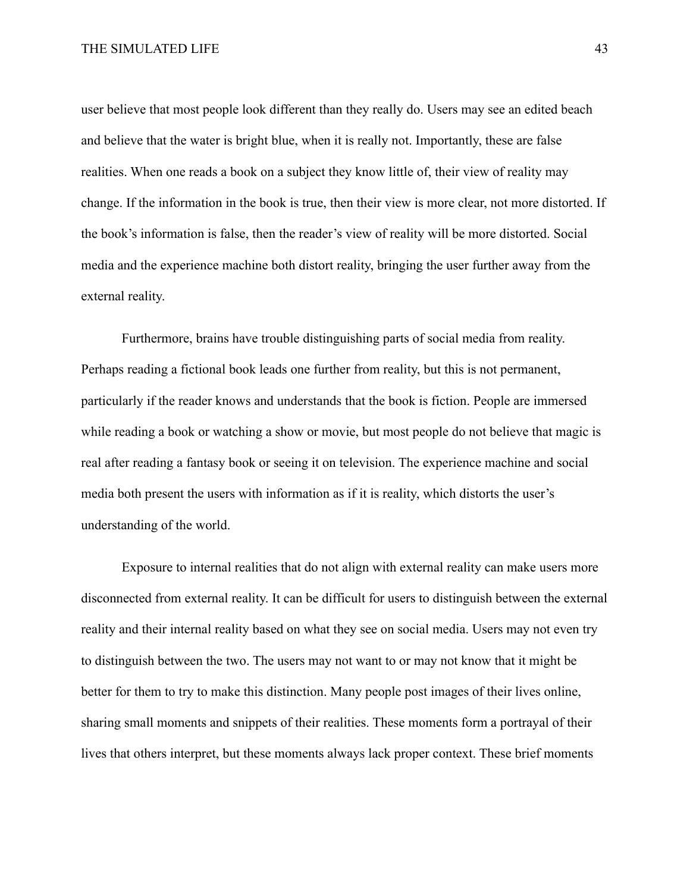user believe that most people look different than they really do. Users may see an edited beach and believe that the water is bright blue, when it is really not. Importantly, these are false realities. When one reads a book on a subject they know little of, their view of reality may change. If the information in the book is true, then their view is more clear, not more distorted. If the book's information is false, then the reader's view of reality will be more distorted. Social media and the experience machine both distort reality, bringing the user further away from the external reality.

Furthermore, brains have trouble distinguishing parts of social media from reality. Perhaps reading a fictional book leads one further from reality, but this is not permanent, particularly if the reader knows and understands that the book is fiction. People are immersed while reading a book or watching a show or movie, but most people do not believe that magic is real after reading a fantasy book or seeing it on television. The experience machine and social media both present the users with information as if it is reality, which distorts the user's understanding of the world.

Exposure to internal realities that do not align with external reality can make users more disconnected from external reality. It can be difficult for users to distinguish between the external reality and their internal reality based on what they see on social media. Users may not even try to distinguish between the two. The users may not want to or may not know that it might be better for them to try to make this distinction. Many people post images of their lives online, sharing small moments and snippets of their realities. These moments form a portrayal of their lives that others interpret, but these moments always lack proper context. These brief moments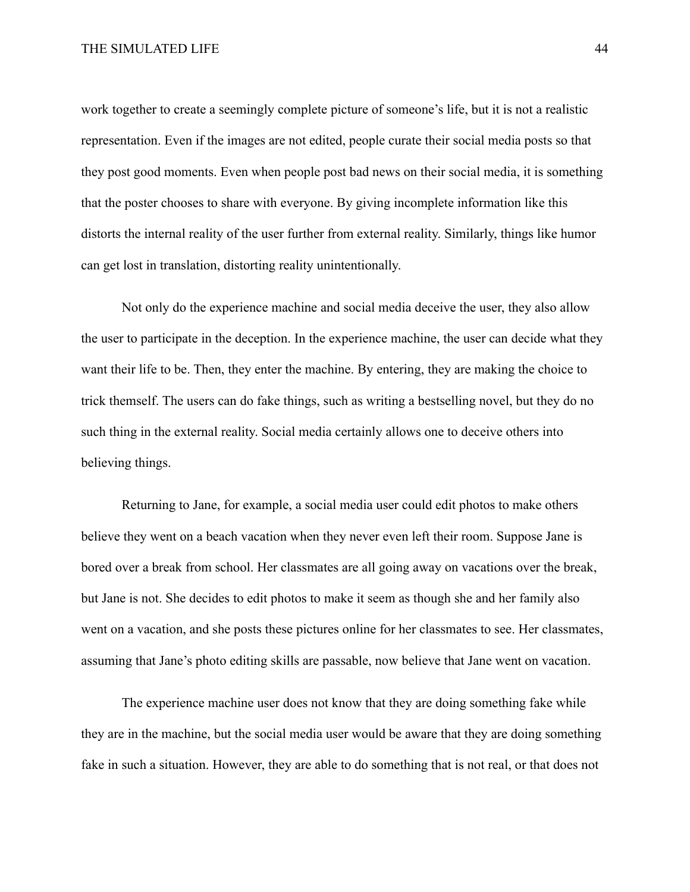work together to create a seemingly complete picture of someone's life, but it is not a realistic representation. Even if the images are not edited, people curate their social media posts so that they post good moments. Even when people post bad news on their social media, it is something that the poster chooses to share with everyone. By giving incomplete information like this distorts the internal reality of the user further from external reality. Similarly, things like humor can get lost in translation, distorting reality unintentionally.

Not only do the experience machine and social media deceive the user, they also allow the user to participate in the deception. In the experience machine, the user can decide what they want their life to be. Then, they enter the machine. By entering, they are making the choice to trick themself. The users can do fake things, such as writing a bestselling novel, but they do no such thing in the external reality. Social media certainly allows one to deceive others into believing things.

Returning to Jane, for example, a social media user could edit photos to make others believe they went on a beach vacation when they never even left their room. Suppose Jane is bored over a break from school. Her classmates are all going away on vacations over the break, but Jane is not. She decides to edit photos to make it seem as though she and her family also went on a vacation, and she posts these pictures online for her classmates to see. Her classmates, assuming that Jane's photo editing skills are passable, now believe that Jane went on vacation.

The experience machine user does not know that they are doing something fake while they are in the machine, but the social media user would be aware that they are doing something fake in such a situation. However, they are able to do something that is not real, or that does not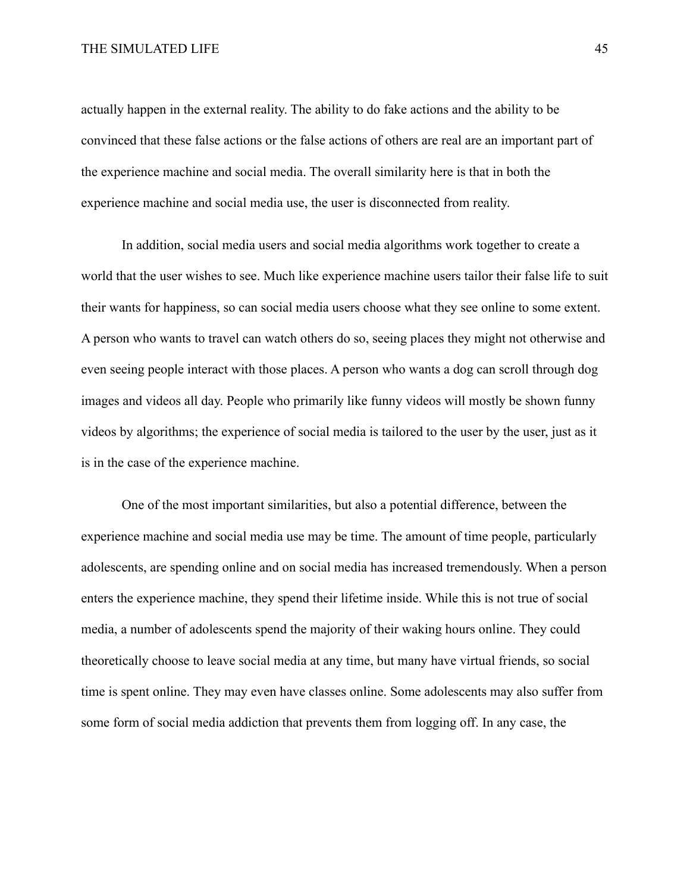actually happen in the external reality. The ability to do fake actions and the ability to be convinced that these false actions or the false actions of others are real are an important part of the experience machine and social media. The overall similarity here is that in both the experience machine and social media use, the user is disconnected from reality.

In addition, social media users and social media algorithms work together to create a world that the user wishes to see. Much like experience machine users tailor their false life to suit their wants for happiness, so can social media users choose what they see online to some extent. A person who wants to travel can watch others do so, seeing places they might not otherwise and even seeing people interact with those places. A person who wants a dog can scroll through dog images and videos all day. People who primarily like funny videos will mostly be shown funny videos by algorithms; the experience of social media is tailored to the user by the user, just as it is in the case of the experience machine.

One of the most important similarities, but also a potential difference, between the experience machine and social media use may be time. The amount of time people, particularly adolescents, are spending online and on social media has increased tremendously. When a person enters the experience machine, they spend their lifetime inside. While this is not true of social media, a number of adolescents spend the majority of their waking hours online. They could theoretically choose to leave social media at any time, but many have virtual friends, so social time is spent online. They may even have classes online. Some adolescents may also suffer from some form of social media addiction that prevents them from logging off. In any case, the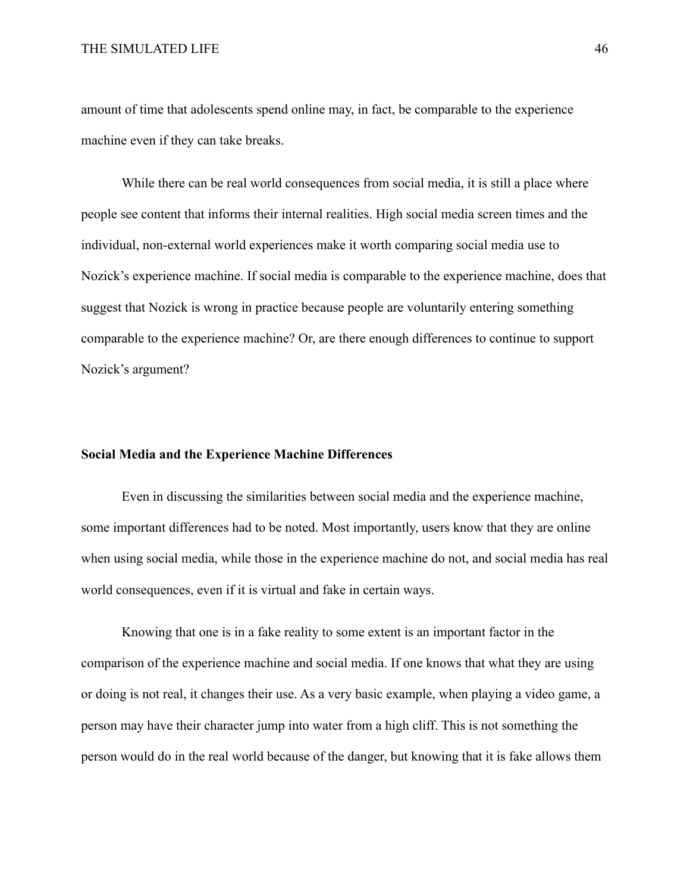amount of time that adolescents spend online may, in fact, be comparable to the experience machine even if they can take breaks.

While there can be real world consequences from social media, it is still a place where people see content that informs their internal realities. High social media screen times and the individual, non-external world experiences make it worth comparing social media use to Nozick's experience machine. If social media is comparable to the experience machine, does that suggest that Nozick is wrong in practice because people are voluntarily entering something comparable to the experience machine? Or, are there enough differences to continue to support Nozick's argument?

## **Social Media and the Experience Machine Differences**

Even in discussing the similarities between social media and the experience machine, some important differences had to be noted. Most importantly, users know that they are online when using social media, while those in the experience machine do not, and social media has real world consequences, even if it is virtual and fake in certain ways.

Knowing that one is in a fake reality to some extent is an important factor in the comparison of the experience machine and social media. If one knows that what they are using or doing is not real, it changes their use. As a very basic example, when playing a video game, a person may have their character jump into water from a high cliff. This is not something the person would do in the real world because of the danger, but knowing that it is fake allows them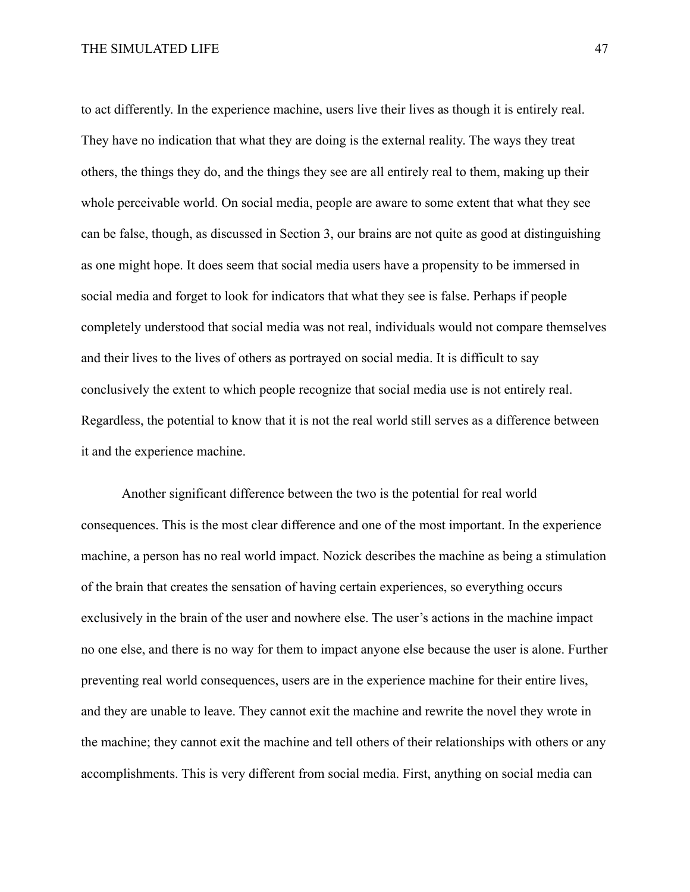to act differently. In the experience machine, users live their lives as though it is entirely real. They have no indication that what they are doing is the external reality. The ways they treat others, the things they do, and the things they see are all entirely real to them, making up their whole perceivable world. On social media, people are aware to some extent that what they see can be false, though, as discussed in Section 3, our brains are not quite as good at distinguishing as one might hope. It does seem that social media users have a propensity to be immersed in social media and forget to look for indicators that what they see is false. Perhaps if people completely understood that social media was not real, individuals would not compare themselves and their lives to the lives of others as portrayed on social media. It is difficult to say conclusively the extent to which people recognize that social media use is not entirely real. Regardless, the potential to know that it is not the real world still serves as a difference between it and the experience machine.

Another significant difference between the two is the potential for real world consequences. This is the most clear difference and one of the most important. In the experience machine, a person has no real world impact. Nozick describes the machine as being a stimulation of the brain that creates the sensation of having certain experiences, so everything occurs exclusively in the brain of the user and nowhere else. The user's actions in the machine impact no one else, and there is no way for them to impact anyone else because the user is alone. Further preventing real world consequences, users are in the experience machine for their entire lives, and they are unable to leave. They cannot exit the machine and rewrite the novel they wrote in the machine; they cannot exit the machine and tell others of their relationships with others or any accomplishments. This is very different from social media. First, anything on social media can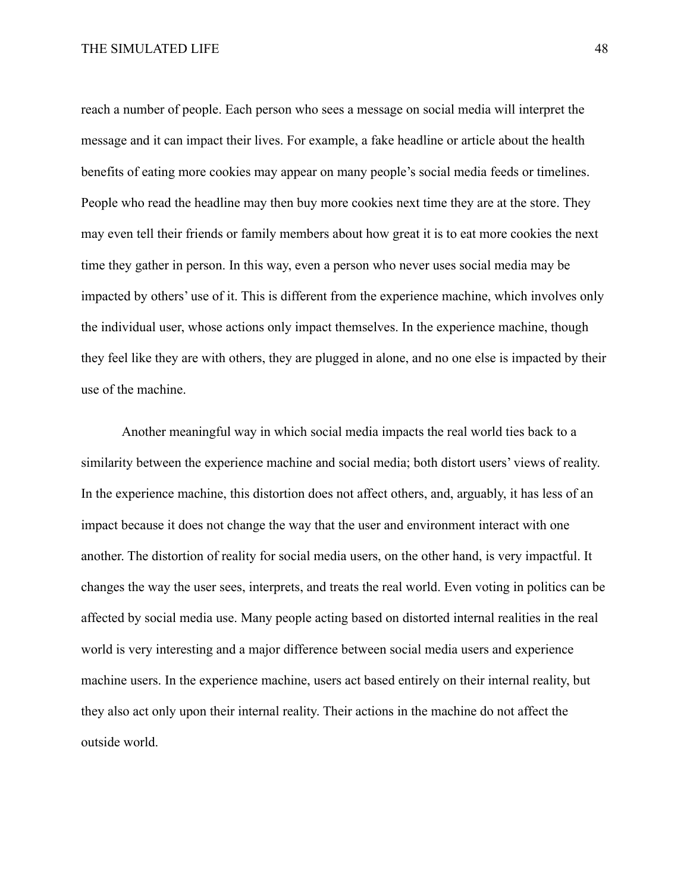reach a number of people. Each person who sees a message on social media will interpret the message and it can impact their lives. For example, a fake headline or article about the health benefits of eating more cookies may appear on many people's social media feeds or timelines. People who read the headline may then buy more cookies next time they are at the store. They may even tell their friends or family members about how great it is to eat more cookies the next time they gather in person. In this way, even a person who never uses social media may be impacted by others' use of it. This is different from the experience machine, which involves only the individual user, whose actions only impact themselves. In the experience machine, though they feel like they are with others, they are plugged in alone, and no one else is impacted by their use of the machine.

Another meaningful way in which social media impacts the real world ties back to a similarity between the experience machine and social media; both distort users' views of reality. In the experience machine, this distortion does not affect others, and, arguably, it has less of an impact because it does not change the way that the user and environment interact with one another. The distortion of reality for social media users, on the other hand, is very impactful. It changes the way the user sees, interprets, and treats the real world. Even voting in politics can be affected by social media use. Many people acting based on distorted internal realities in the real world is very interesting and a major difference between social media users and experience machine users. In the experience machine, users act based entirely on their internal reality, but they also act only upon their internal reality. Their actions in the machine do not affect the outside world.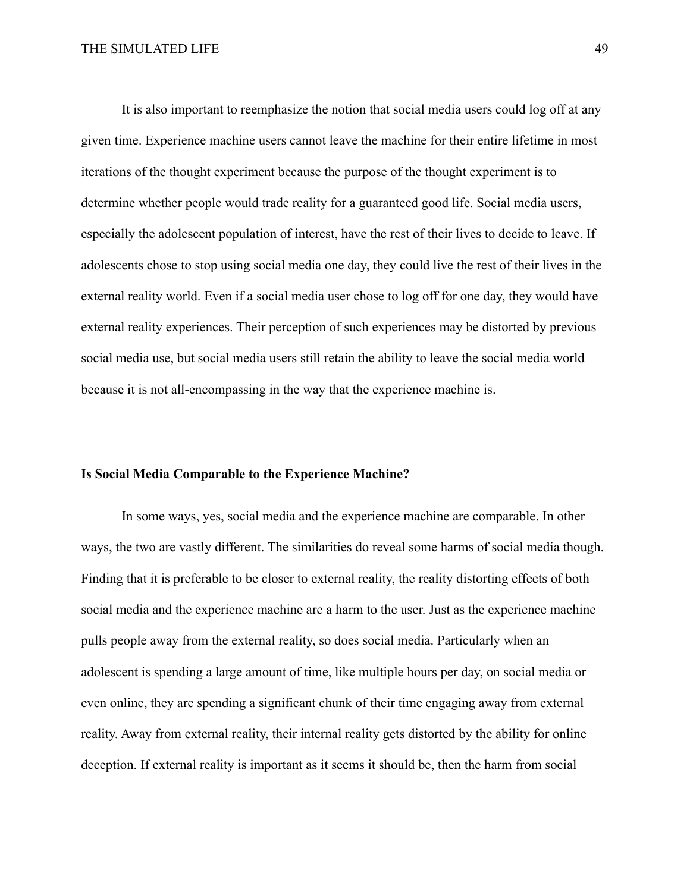It is also important to reemphasize the notion that social media users could log off at any given time. Experience machine users cannot leave the machine for their entire lifetime in most iterations of the thought experiment because the purpose of the thought experiment is to determine whether people would trade reality for a guaranteed good life. Social media users, especially the adolescent population of interest, have the rest of their lives to decide to leave. If adolescents chose to stop using social media one day, they could live the rest of their lives in the external reality world. Even if a social media user chose to log off for one day, they would have external reality experiences. Their perception of such experiences may be distorted by previous social media use, but social media users still retain the ability to leave the social media world because it is not all-encompassing in the way that the experience machine is.

#### **Is Social Media Comparable to the Experience Machine?**

In some ways, yes, social media and the experience machine are comparable. In other ways, the two are vastly different. The similarities do reveal some harms of social media though. Finding that it is preferable to be closer to external reality, the reality distorting effects of both social media and the experience machine are a harm to the user. Just as the experience machine pulls people away from the external reality, so does social media. Particularly when an adolescent is spending a large amount of time, like multiple hours per day, on social media or even online, they are spending a significant chunk of their time engaging away from external reality. Away from external reality, their internal reality gets distorted by the ability for online deception. If external reality is important as it seems it should be, then the harm from social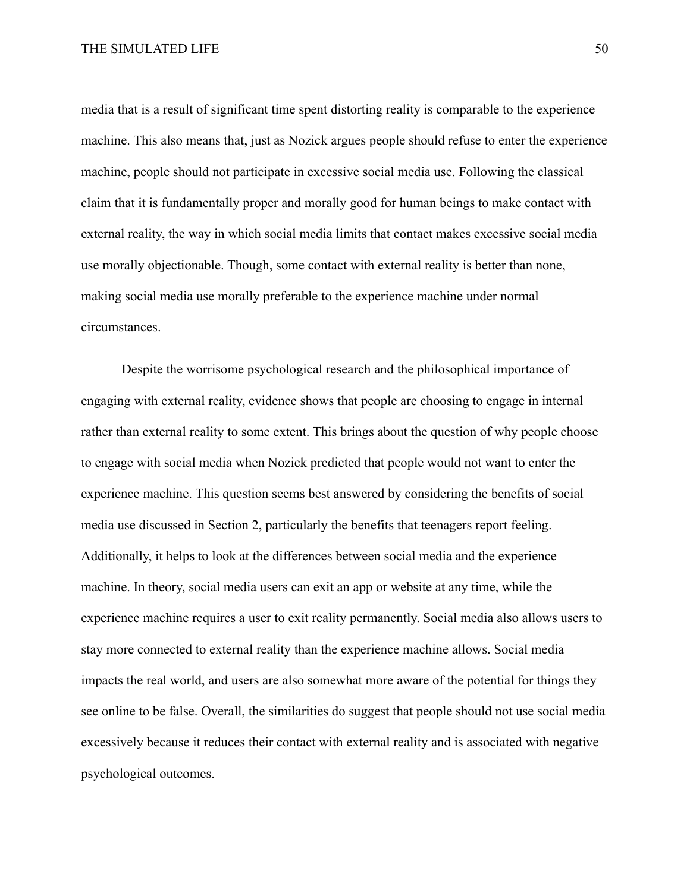media that is a result of significant time spent distorting reality is comparable to the experience machine. This also means that, just as Nozick argues people should refuse to enter the experience machine, people should not participate in excessive social media use. Following the classical claim that it is fundamentally proper and morally good for human beings to make contact with external reality, the way in which social media limits that contact makes excessive social media use morally objectionable. Though, some contact with external reality is better than none, making social media use morally preferable to the experience machine under normal circumstances.

Despite the worrisome psychological research and the philosophical importance of engaging with external reality, evidence shows that people are choosing to engage in internal rather than external reality to some extent. This brings about the question of why people choose to engage with social media when Nozick predicted that people would not want to enter the experience machine. This question seems best answered by considering the benefits of social media use discussed in Section 2, particularly the benefits that teenagers report feeling. Additionally, it helps to look at the differences between social media and the experience machine. In theory, social media users can exit an app or website at any time, while the experience machine requires a user to exit reality permanently. Social media also allows users to stay more connected to external reality than the experience machine allows. Social media impacts the real world, and users are also somewhat more aware of the potential for things they see online to be false. Overall, the similarities do suggest that people should not use social media excessively because it reduces their contact with external reality and is associated with negative psychological outcomes.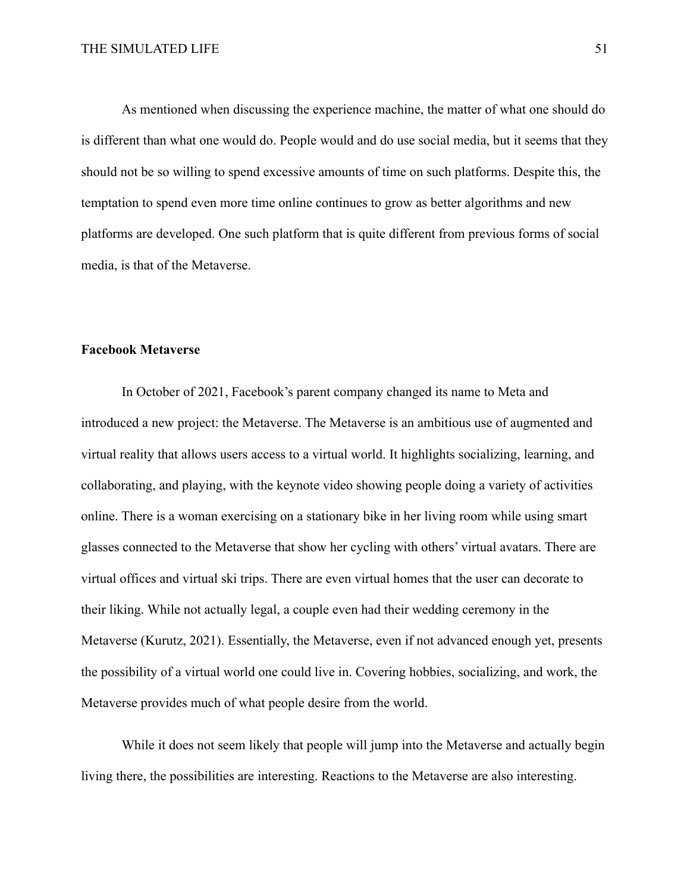As mentioned when discussing the experience machine, the matter of what one should do is different than what one would do. People would and do use social media, but it seems that they should not be so willing to spend excessive amounts of time on such platforms. Despite this, the temptation to spend even more time online continues to grow as better algorithms and new platforms are developed. One such platform that is quite different from previous forms of social media, is that of the Metaverse.

#### **Facebook Metaverse**

In October of 2021, Facebook's parent company changed its name to Meta and introduced a new project: the Metaverse. The Metaverse is an ambitious use of augmented and virtual reality that allows users access to a virtual world. It highlights socializing, learning, and collaborating, and playing, with the keynote video showing people doing a variety of activities online. There is a woman exercising on a stationary bike in her living room while using smart glasses connected to the Metaverse that show her cycling with others' virtual avatars. There are virtual offices and virtual ski trips. There are even virtual homes that the user can decorate to their liking. While not actually legal, a couple even had their wedding ceremony in the Metaverse (Kurutz, 2021). Essentially, the Metaverse, even if not advanced enough yet, presents the possibility of a virtual world one could live in. Covering hobbies, socializing, and work, the Metaverse provides much of what people desire from the world.

While it does not seem likely that people will jump into the Metaverse and actually begin living there, the possibilities are interesting. Reactions to the Metaverse are also interesting.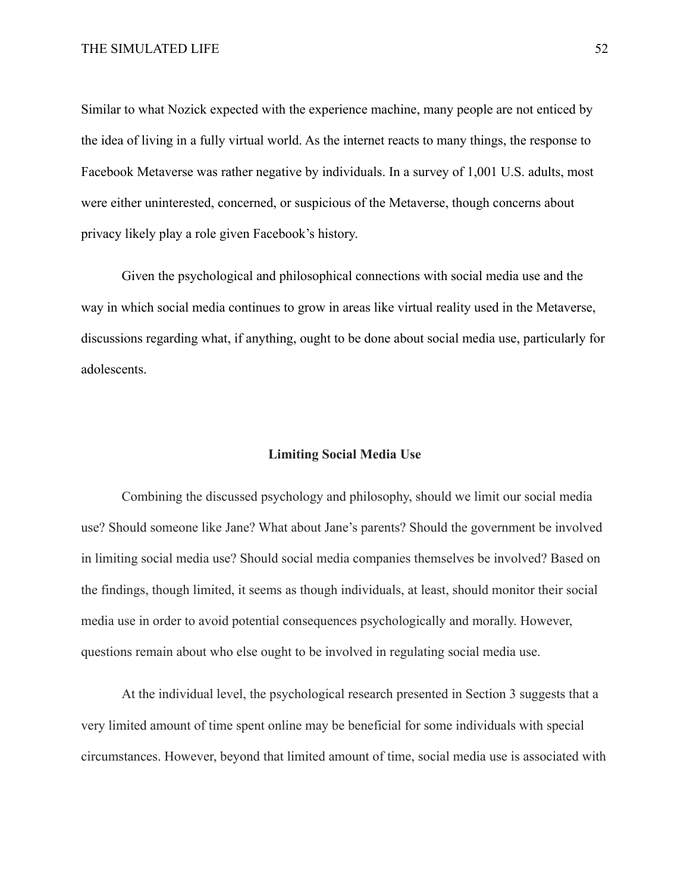Similar to what Nozick expected with the experience machine, many people are not enticed by the idea of living in a fully virtual world. As the internet reacts to many things, the response to Facebook Metaverse was rather negative by individuals. In a survey of 1,001 U.S. adults, most were either uninterested, concerned, or suspicious of the Metaverse, though concerns about privacy likely play a role given Facebook's history.

Given the psychological and philosophical connections with social media use and the way in which social media continues to grow in areas like virtual reality used in the Metaverse, discussions regarding what, if anything, ought to be done about social media use, particularly for adolescents.

## **Limiting Social Media Use**

Combining the discussed psychology and philosophy, should we limit our social media use? Should someone like Jane? What about Jane's parents? Should the government be involved in limiting social media use? Should social media companies themselves be involved? Based on the findings, though limited, it seems as though individuals, at least, should monitor their social media use in order to avoid potential consequences psychologically and morally. However, questions remain about who else ought to be involved in regulating social media use.

At the individual level, the psychological research presented in Section 3 suggests that a very limited amount of time spent online may be beneficial for some individuals with special circumstances. However, beyond that limited amount of time, social media use is associated with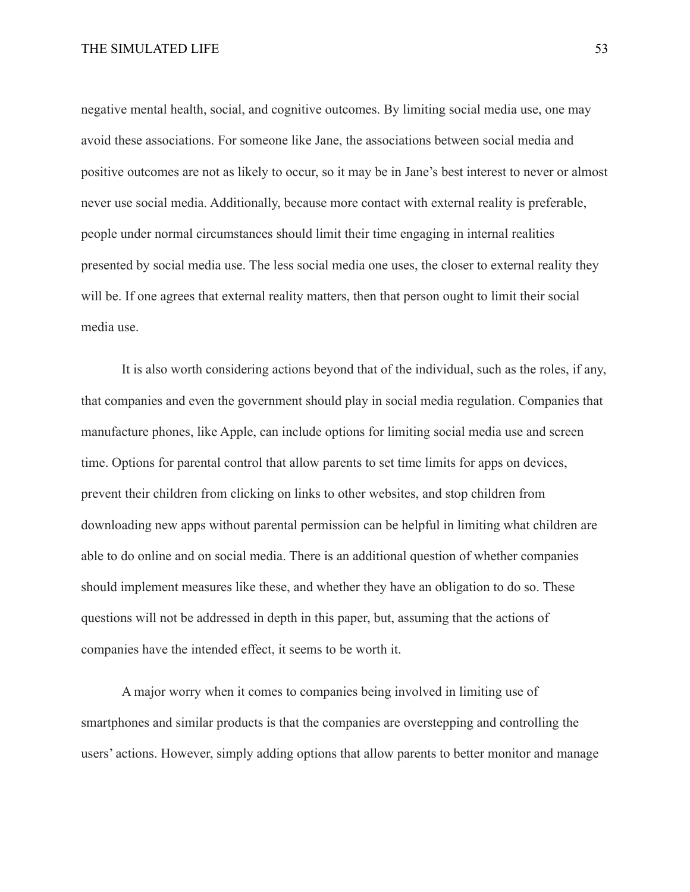negative mental health, social, and cognitive outcomes. By limiting social media use, one may avoid these associations. For someone like Jane, the associations between social media and positive outcomes are not as likely to occur, so it may be in Jane's best interest to never or almost never use social media. Additionally, because more contact with external reality is preferable, people under normal circumstances should limit their time engaging in internal realities presented by social media use. The less social media one uses, the closer to external reality they will be. If one agrees that external reality matters, then that person ought to limit their social media use.

It is also worth considering actions beyond that of the individual, such as the roles, if any, that companies and even the government should play in social media regulation. Companies that manufacture phones, like Apple, can include options for limiting social media use and screen time. Options for parental control that allow parents to set time limits for apps on devices, prevent their children from clicking on links to other websites, and stop children from downloading new apps without parental permission can be helpful in limiting what children are able to do online and on social media. There is an additional question of whether companies should implement measures like these, and whether they have an obligation to do so. These questions will not be addressed in depth in this paper, but, assuming that the actions of companies have the intended effect, it seems to be worth it.

A major worry when it comes to companies being involved in limiting use of smartphones and similar products is that the companies are overstepping and controlling the users' actions. However, simply adding options that allow parents to better monitor and manage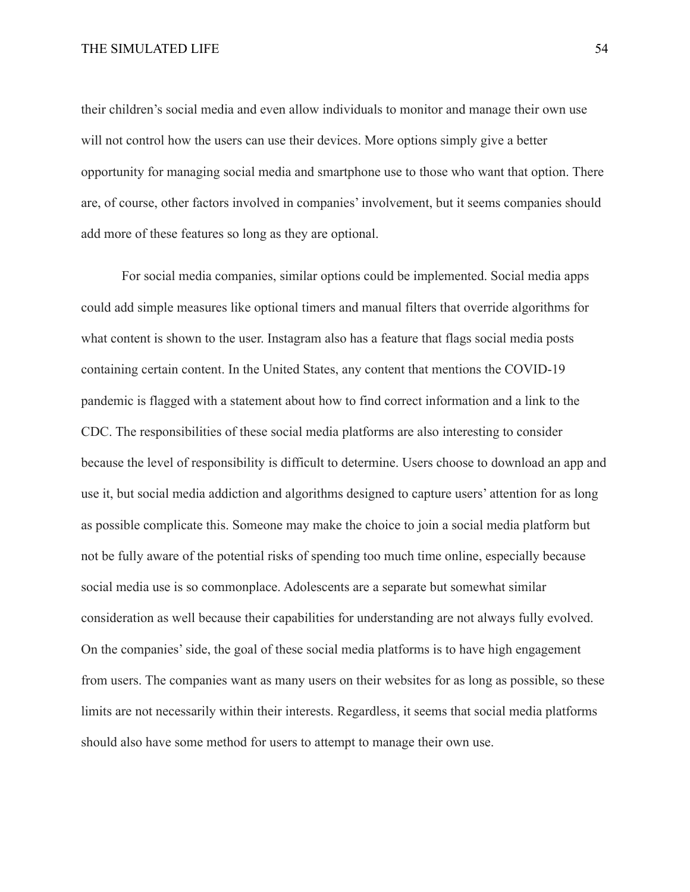their children's social media and even allow individuals to monitor and manage their own use will not control how the users can use their devices. More options simply give a better opportunity for managing social media and smartphone use to those who want that option. There are, of course, other factors involved in companies' involvement, but it seems companies should add more of these features so long as they are optional.

For social media companies, similar options could be implemented. Social media apps could add simple measures like optional timers and manual filters that override algorithms for what content is shown to the user. Instagram also has a feature that flags social media posts containing certain content. In the United States, any content that mentions the COVID-19 pandemic is flagged with a statement about how to find correct information and a link to the CDC. The responsibilities of these social media platforms are also interesting to consider because the level of responsibility is difficult to determine. Users choose to download an app and use it, but social media addiction and algorithms designed to capture users' attention for as long as possible complicate this. Someone may make the choice to join a social media platform but not be fully aware of the potential risks of spending too much time online, especially because social media use is so commonplace. Adolescents are a separate but somewhat similar consideration as well because their capabilities for understanding are not always fully evolved. On the companies' side, the goal of these social media platforms is to have high engagement from users. The companies want as many users on their websites for as long as possible, so these limits are not necessarily within their interests. Regardless, it seems that social media platforms should also have some method for users to attempt to manage their own use.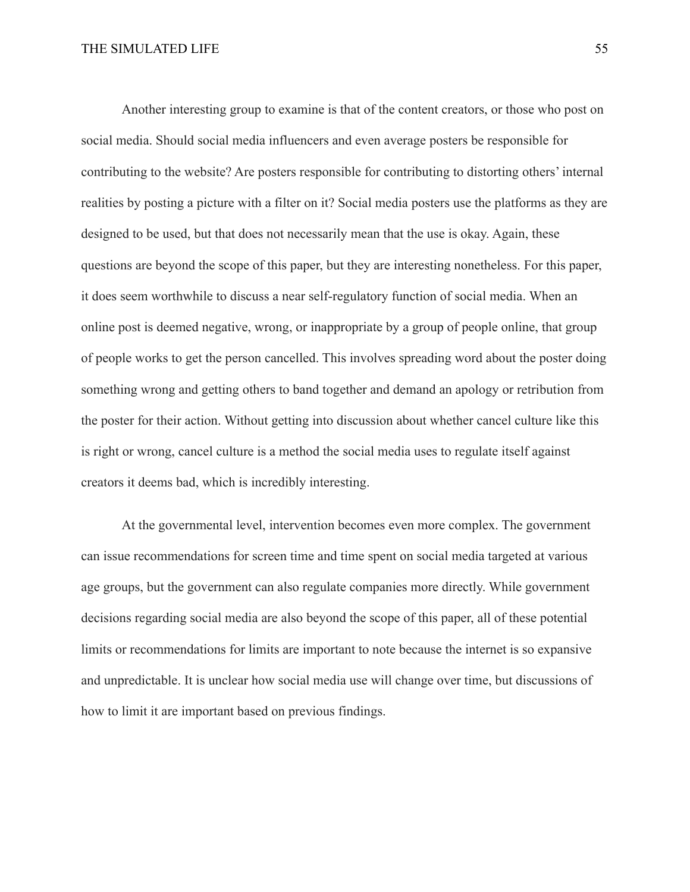Another interesting group to examine is that of the content creators, or those who post on social media. Should social media influencers and even average posters be responsible for contributing to the website? Are posters responsible for contributing to distorting others' internal realities by posting a picture with a filter on it? Social media posters use the platforms as they are designed to be used, but that does not necessarily mean that the use is okay. Again, these questions are beyond the scope of this paper, but they are interesting nonetheless. For this paper, it does seem worthwhile to discuss a near self-regulatory function of social media. When an online post is deemed negative, wrong, or inappropriate by a group of people online, that group of people works to get the person cancelled. This involves spreading word about the poster doing something wrong and getting others to band together and demand an apology or retribution from the poster for their action. Without getting into discussion about whether cancel culture like this is right or wrong, cancel culture is a method the social media uses to regulate itself against creators it deems bad, which is incredibly interesting.

At the governmental level, intervention becomes even more complex. The government can issue recommendations for screen time and time spent on social media targeted at various age groups, but the government can also regulate companies more directly. While government decisions regarding social media are also beyond the scope of this paper, all of these potential limits or recommendations for limits are important to note because the internet is so expansive and unpredictable. It is unclear how social media use will change over time, but discussions of how to limit it are important based on previous findings.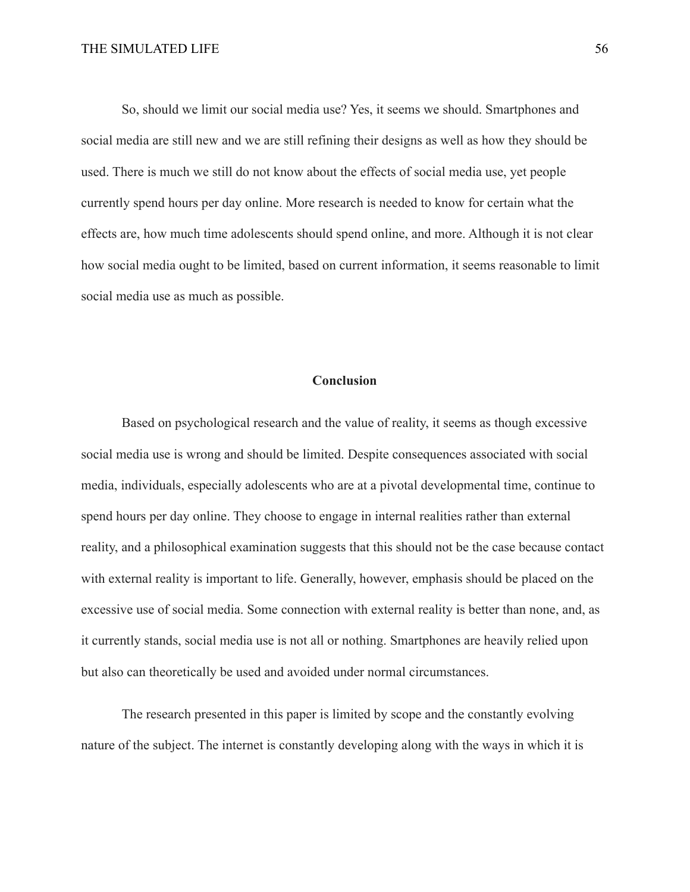So, should we limit our social media use? Yes, it seems we should. Smartphones and social media are still new and we are still refining their designs as well as how they should be used. There is much we still do not know about the effects of social media use, yet people currently spend hours per day online. More research is needed to know for certain what the effects are, how much time adolescents should spend online, and more. Although it is not clear how social media ought to be limited, based on current information, it seems reasonable to limit social media use as much as possible.

## **Conclusion**

Based on psychological research and the value of reality, it seems as though excessive social media use is wrong and should be limited. Despite consequences associated with social media, individuals, especially adolescents who are at a pivotal developmental time, continue to spend hours per day online. They choose to engage in internal realities rather than external reality, and a philosophical examination suggests that this should not be the case because contact with external reality is important to life. Generally, however, emphasis should be placed on the excessive use of social media. Some connection with external reality is better than none, and, as it currently stands, social media use is not all or nothing. Smartphones are heavily relied upon but also can theoretically be used and avoided under normal circumstances.

The research presented in this paper is limited by scope and the constantly evolving nature of the subject. The internet is constantly developing along with the ways in which it is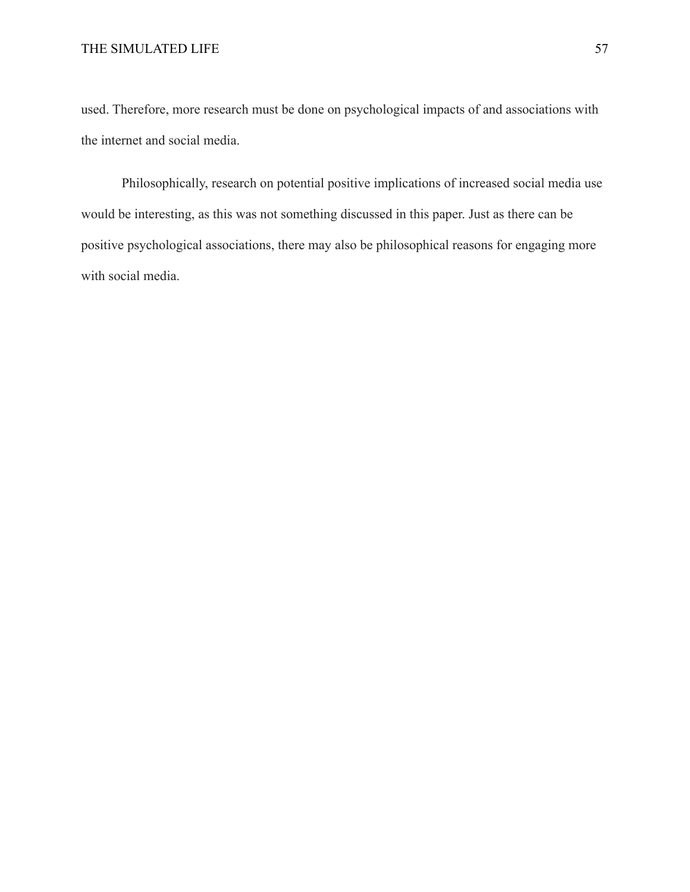used. Therefore, more research must be done on psychological impacts of and associations with the internet and social media.

Philosophically, research on potential positive implications of increased social media use would be interesting, as this was not something discussed in this paper. Just as there can be positive psychological associations, there may also be philosophical reasons for engaging more with social media.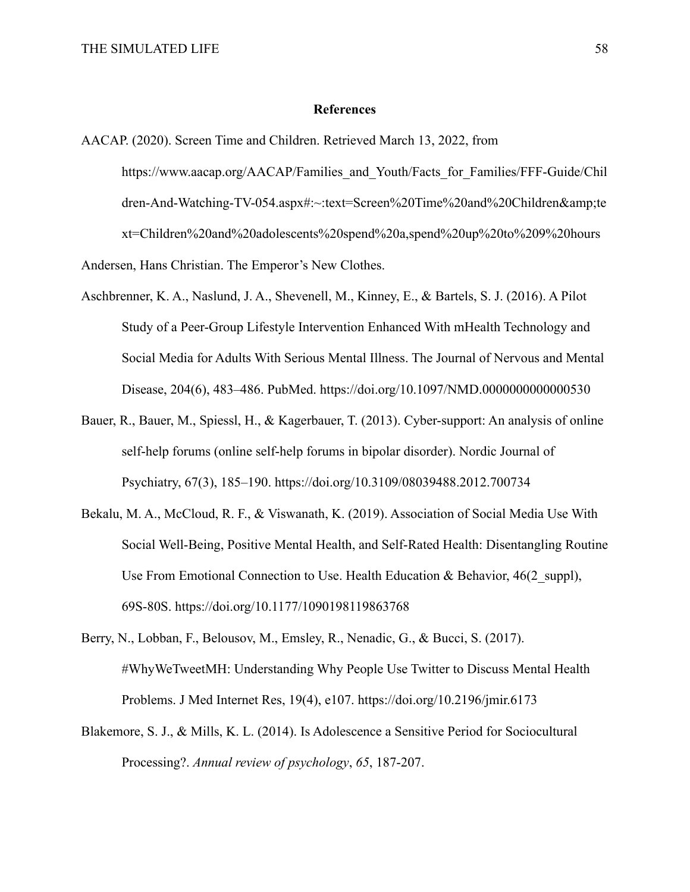#### **References**

- <span id="page-58-0"></span>AACAP. (2020). Screen Time and Children. Retrieved March 13, 2022, from https://www.aacap.org/AACAP/Families\_and\_Youth/Facts\_for\_Families/FFF-Guide/Chil dren-And-Watching-TV-054.aspx#:~:text=Screen%20Time%20and%20Children&te xt=Children%20and%20adolescents%20spend%20a,spend%20up%20to%209%20hours Andersen, Hans Christian. The Emperor's New Clothes.
- Aschbrenner, K. A., Naslund, J. A., Shevenell, M., Kinney, E., & Bartels, S. J. (2016). A Pilot Study of a Peer-Group Lifestyle Intervention Enhanced With mHealth Technology and Social Media for Adults With Serious Mental Illness. The Journal of Nervous and Mental Disease, 204(6), 483–486. PubMed. https://doi.org/10.1097/NMD.0000000000000530
- Bauer, R., Bauer, M., Spiessl, H., & Kagerbauer, T. (2013). Cyber-support: An analysis of online self-help forums (online self-help forums in bipolar disorder). Nordic Journal of Psychiatry, 67(3), 185–190. https://doi.org/10.3109/08039488.2012.700734
- Bekalu, M. A., McCloud, R. F., & Viswanath, K. (2019). Association of Social Media Use With Social Well-Being, Positive Mental Health, and Self-Rated Health: Disentangling Routine Use From Emotional Connection to Use. Health Education & Behavior, 46(2 suppl), 69S-80S. https://doi.org/10.1177/1090198119863768
- Berry, N., Lobban, F., Belousov, M., Emsley, R., Nenadic, G., & Bucci, S. (2017). #WhyWeTweetMH: Understanding Why People Use Twitter to Discuss Mental Health Problems. J Med Internet Res, 19(4), e107. https://doi.org/10.2196/jmir.6173
- Blakemore, S. J., & Mills, K. L. (2014). Is Adolescence a Sensitive Period for Sociocultural Processing?. *Annual review of psychology*, *65*, 187-207.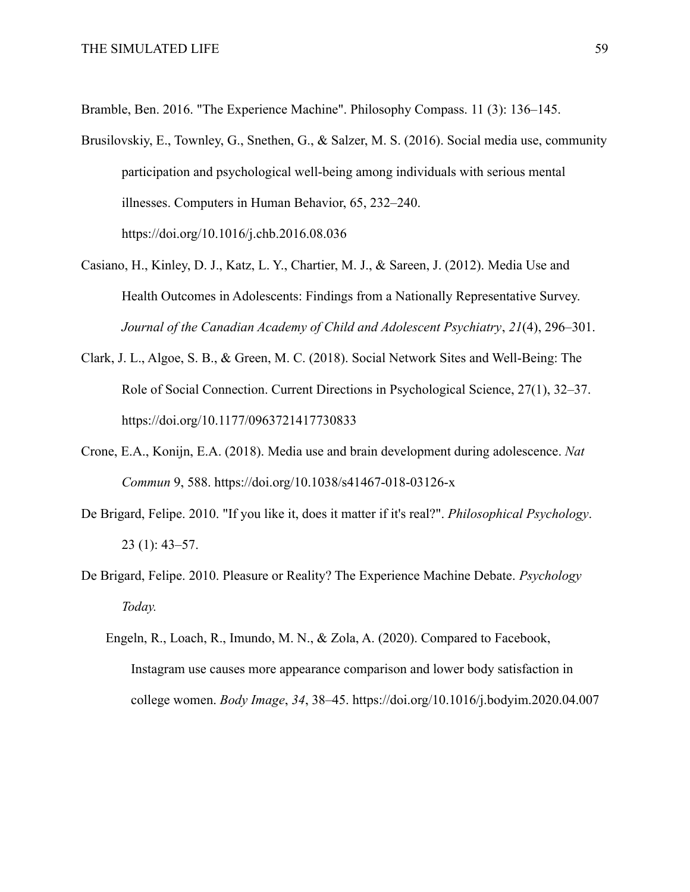Bramble, Ben. 2016. "The Experience Machine". Philosophy Compass. 11 (3): 136–145.

- Brusilovskiy, E., Townley, G., Snethen, G., & Salzer, M. S. (2016). Social media use, community participation and psychological well-being among individuals with serious mental illnesses. Computers in Human Behavior, 65, 232–240. https://doi.org/10.1016/j.chb.2016.08.036
- Casiano, H., Kinley, D. J., Katz, L. Y., Chartier, M. J., & Sareen, J. (2012). Media Use and Health Outcomes in Adolescents: Findings from a Nationally Representative Survey. *Journal of the Canadian Academy of Child and Adolescent Psychiatry*, *21*(4), 296–301.
- Clark, J. L., Algoe, S. B., & Green, M. C. (2018). Social Network Sites and Well-Being: The Role of Social Connection. Current Directions in Psychological Science, 27(1), 32–37. https://doi.org/10.1177/0963721417730833
- Crone, E.A., Konijn, E.A. (2018). Media use and brain development during adolescence. *Nat Commun* 9, 588. https://doi.org/10.1038/s41467-018-03126-x
- De Brigard, Felipe. 2010. "If you like it, does it matter if it's real?". *Philosophical Psychology*. 23 (1): 43–57.
- De Brigard, Felipe. 2010. Pleasure or Reality? The Experience Machine Debate. *Psychology Today.*
	- Engeln, R., Loach, R., Imundo, M. N., & Zola, A. (2020). Compared to Facebook, Instagram use causes more appearance comparison and lower body satisfaction in college women. *Body Image*, *34*, 38–45. https://doi.org/10.1016/j.bodyim.2020.04.007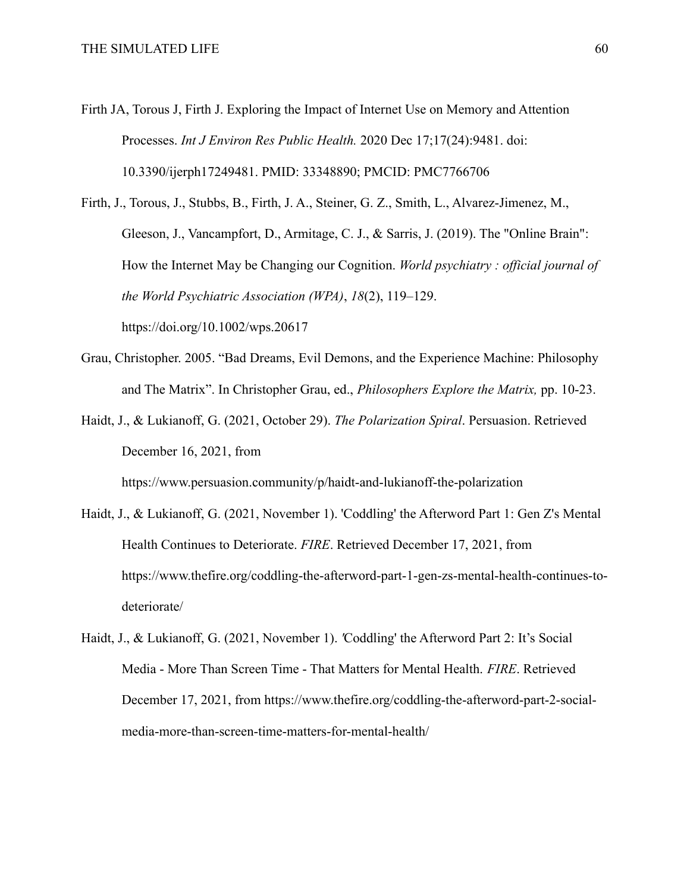- Firth JA, Torous J, Firth J. Exploring the Impact of Internet Use on Memory and Attention Processes. *Int J Environ Res Public Health.* 2020 Dec 17;17(24):9481. doi: 10.3390/ijerph17249481. PMID: 33348890; PMCID: PMC7766706
- Firth, J., Torous, J., Stubbs, B., Firth, J. A., Steiner, G. Z., Smith, L., Alvarez-Jimenez, M., Gleeson, J., Vancampfort, D., Armitage, C. J., & Sarris, J. (2019). The "Online Brain": How the Internet May be Changing our Cognition. *World psychiatry : official journal of the World Psychiatric Association (WPA)*, *18*(2), 119–129. https://doi.org/10.1002/wps.20617
- Grau, Christopher. 2005. "Bad Dreams, Evil Demons, and the Experience Machine: Philosophy and The Matrix". In Christopher Grau, ed., *Philosophers Explore the Matrix,* pp. 10-23.
- Haidt, J., & Lukianoff, G. (2021, October 29). *The Polarization Spiral*. Persuasion. Retrieved December 16, 2021, from

https://www.persuasion.community/p/haidt-and-lukianoff-the-polarization

- Haidt, J., & Lukianoff, G. (2021, November 1). 'Coddling' the Afterword Part 1: Gen Z's Mental Health Continues to Deteriorate. *FIRE*. Retrieved December 17, 2021, from https://www.thefire.org/coddling-the-afterword-part-1-gen-zs-mental-health-continues-todeteriorate/
- Haidt, J., & Lukianoff, G. (2021, November 1). *'*Coddling' the Afterword Part 2: It's Social Media - More Than Screen Time - That Matters for Mental Health. *FIRE*. Retrieved December 17, 2021, from https://www.thefire.org/coddling-the-afterword-part-2-socialmedia-more-than-screen-time-matters-for-mental-health/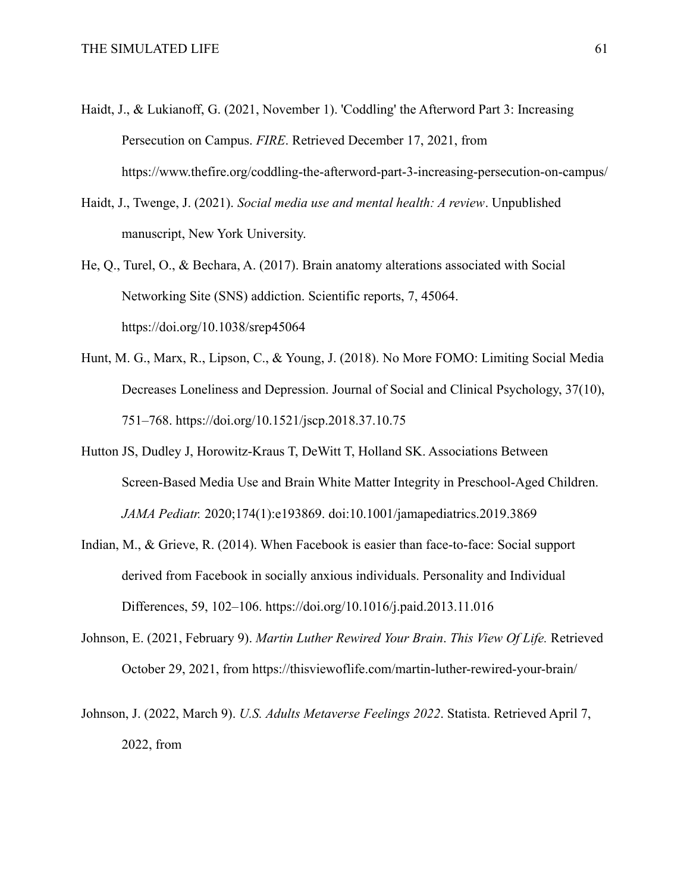- Haidt, J., & Lukianoff, G. (2021, November 1). 'Coddling' the Afterword Part 3: Increasing Persecution on Campus. *FIRE*. Retrieved December 17, 2021, from https://www.thefire.org/coddling-the-afterword-part-3-increasing-persecution-on-campus/
- Haidt, J., Twenge, J. (2021). *Social media use and mental health: A review*. Unpublished manuscript, New York University.
- He, Q., Turel, O., & Bechara, A. (2017). Brain anatomy alterations associated with Social Networking Site (SNS) addiction. Scientific reports, 7, 45064. https://doi.org/10.1038/srep45064
- Hunt, M. G., Marx, R., Lipson, C., & Young, J. (2018). No More FOMO: Limiting Social Media Decreases Loneliness and Depression. Journal of Social and Clinical Psychology, 37(10), 751–768. https://doi.org/10.1521/jscp.2018.37.10.75
- Hutton JS, Dudley J, Horowitz-Kraus T, DeWitt T, Holland SK. Associations Between Screen-Based Media Use and Brain White Matter Integrity in Preschool-Aged Children. *JAMA Pediatr.* 2020;174(1):e193869. doi:10.1001/jamapediatrics.2019.3869
- Indian, M., & Grieve, R. (2014). When Facebook is easier than face-to-face: Social support derived from Facebook in socially anxious individuals. Personality and Individual Differences, 59, 102–106. https://doi.org/10.1016/j.paid.2013.11.016
- Johnson, E. (2021, February 9). *Martin Luther Rewired Your Brain*. *This View Of Life.* Retrieved October 29, 2021, from https://thisviewoflife.com/martin-luther-rewired-your-brain/
- Johnson, J. (2022, March 9). *U.S. Adults Metaverse Feelings 2022*. Statista. Retrieved April 7, 2022, from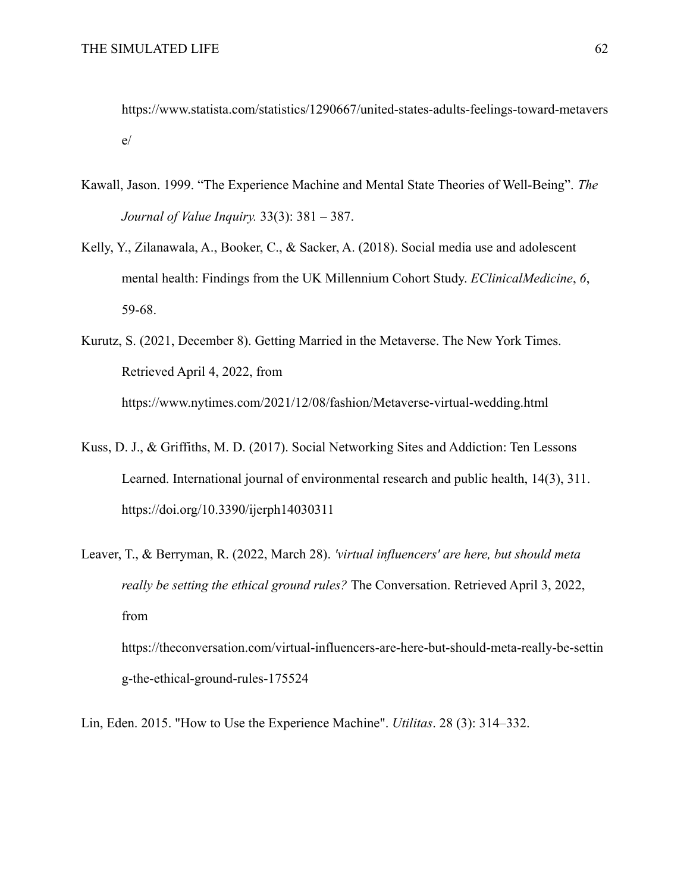https://www.statista.com/statistics/1290667/united-states-adults-feelings-toward-metavers e/

- Kawall, Jason. 1999. "The Experience Machine and Mental State Theories of Well-Being". *The Journal of Value Inquiry.* 33(3): 381 – 387.
- Kelly, Y., Zilanawala, A., Booker, C., & Sacker, A. (2018). Social media use and adolescent mental health: Findings from the UK Millennium Cohort Study. *EClinicalMedicine*, *6*, 59-68.
- Kurutz, S. (2021, December 8). Getting Married in the Metaverse. The New York Times. Retrieved April 4, 2022, from https://www.nytimes.com/2021/12/08/fashion/Metaverse-virtual-wedding.html
- Kuss, D. J., & Griffiths, M. D. (2017). Social Networking Sites and Addiction: Ten Lessons Learned. International journal of environmental research and public health, 14(3), 311. https://doi.org/10.3390/ijerph14030311
- Leaver, T., & Berryman, R. (2022, March 28). *'virtual influencers' are here, but should meta really be setting the ethical ground rules?* The Conversation. Retrieved April 3, 2022, from

https://theconversation.com/virtual-influencers-are-here-but-should-meta-really-be-settin g-the-ethical-ground-rules-175524

Lin, Eden. 2015. "How to Use the Experience Machine". *Utilitas*. 28 (3): 314–332.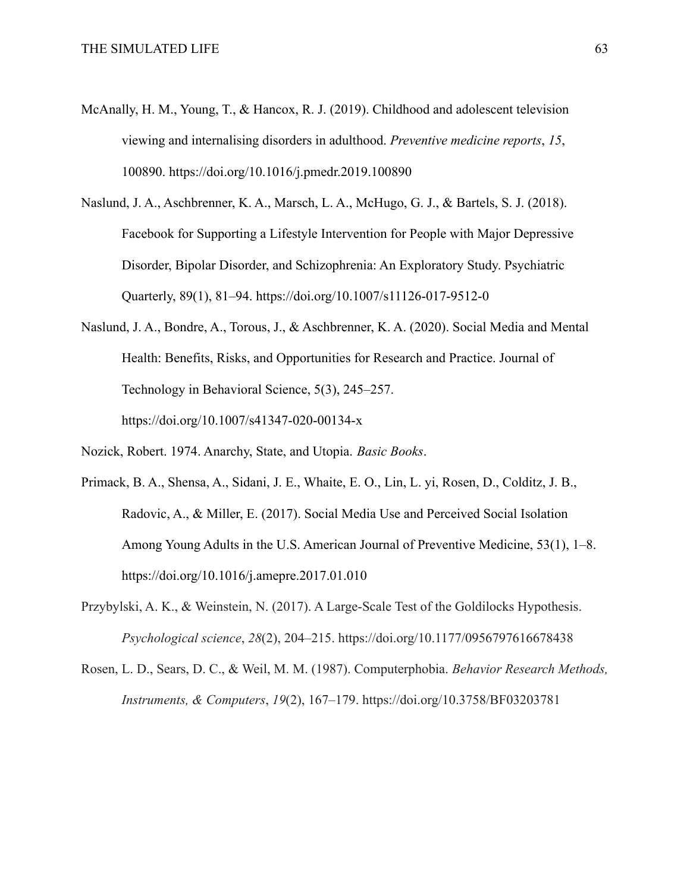- McAnally, H. M., Young, T., & Hancox, R. J. (2019). Childhood and adolescent television viewing and internalising disorders in adulthood. *Preventive medicine reports*, *15*, 100890. https://doi.org/10.1016/j.pmedr.2019.100890
- Naslund, J. A., Aschbrenner, K. A., Marsch, L. A., McHugo, G. J., & Bartels, S. J. (2018). Facebook for Supporting a Lifestyle Intervention for People with Major Depressive Disorder, Bipolar Disorder, and Schizophrenia: An Exploratory Study. Psychiatric Quarterly, 89(1), 81–94. https://doi.org/10.1007/s11126-017-9512-0
- Naslund, J. A., Bondre, A., Torous, J., & Aschbrenner, K. A. (2020). Social Media and Mental Health: Benefits, Risks, and Opportunities for Research and Practice. Journal of Technology in Behavioral Science, 5(3), 245–257. https://doi.org/10.1007/s41347-020-00134-x
- Nozick, Robert. 1974. Anarchy, State, and Utopia. *Basic Books*.
- Primack, B. A., Shensa, A., Sidani, J. E., Whaite, E. O., Lin, L. yi, Rosen, D., Colditz, J. B., Radovic, A., & Miller, E. (2017). Social Media Use and Perceived Social Isolation Among Young Adults in the U.S. American Journal of Preventive Medicine, 53(1), 1–8. https://doi.org/10.1016/j.amepre.2017.01.010
- Przybylski, A. K., & Weinstein, N. (2017). A Large-Scale Test of the Goldilocks Hypothesis. *Psychological science*, *28*(2), 204–215. https://doi.org/10.1177/0956797616678438
- Rosen, L. D., Sears, D. C., & Weil, M. M. (1987). Computerphobia. *Behavior Research Methods, Instruments, & Computers*, *19*(2), 167–179. https://doi.org/10.3758/BF03203781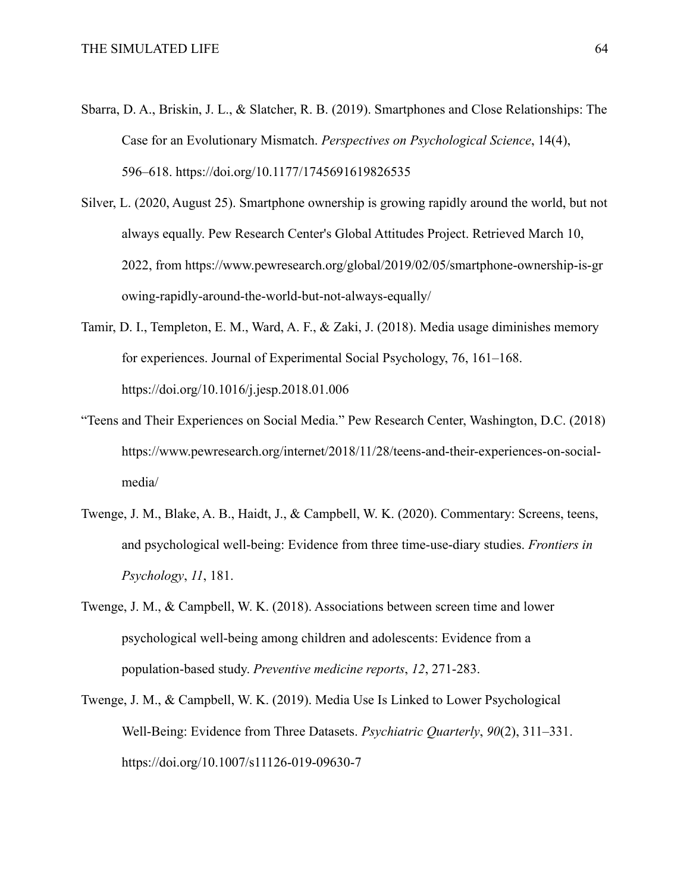- Sbarra, D. A., Briskin, J. L., & Slatcher, R. B. (2019). Smartphones and Close Relationships: The Case for an Evolutionary Mismatch. *Perspectives on Psychological Science*, 14(4), 596–618. https://doi.org/10.1177/1745691619826535
- Silver, L. (2020, August 25). Smartphone ownership is growing rapidly around the world, but not always equally. Pew Research Center's Global Attitudes Project. Retrieved March 10, 2022, from https://www.pewresearch.org/global/2019/02/05/smartphone-ownership-is-gr owing-rapidly-around-the-world-but-not-always-equally/
- Tamir, D. I., Templeton, E. M., Ward, A. F., & Zaki, J. (2018). Media usage diminishes memory for experiences. Journal of Experimental Social Psychology, 76, 161–168. https://doi.org/10.1016/j.jesp.2018.01.006
- "Teens and Their Experiences on Social Media." Pew Research Center, Washington, D.C. (2018) https://www.pewresearch.org/internet/2018/11/28/teens-and-their-experiences-on-socialmedia/
- Twenge, J. M., Blake, A. B., Haidt, J., & Campbell, W. K. (2020). Commentary: Screens, teens, and psychological well-being: Evidence from three time-use-diary studies. *Frontiers in Psychology*, *11*, 181.
- Twenge, J. M., & Campbell, W. K. (2018). Associations between screen time and lower psychological well-being among children and adolescents: Evidence from a population-based study. *Preventive medicine reports*, *12*, 271-283.
- Twenge, J. M., & Campbell, W. K. (2019). Media Use Is Linked to Lower Psychological Well-Being: Evidence from Three Datasets. *Psychiatric Quarterly*, *90*(2), 311–331. https://doi.org/10.1007/s11126-019-09630-7